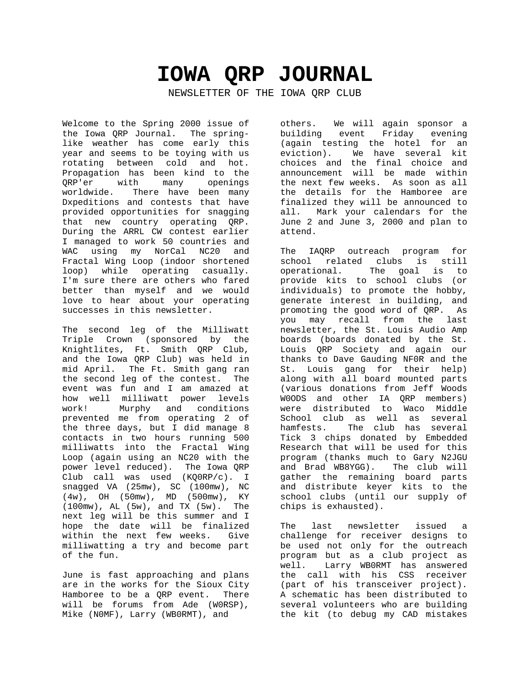# **IOWA QRP JOURNAL**

NEWSLETTER OF THE IOWA QRP CLUB

Welcome to the Spring 2000 issue of the Iowa QRP Journal. The springlike weather has come early this year and seems to be toying with us rotating between cold and hot. Propagation has been kind to the QRP'er with many openings worldwide. There have been many Dxpeditions and contests that have provided opportunities for snagging that new country operating QRP. During the ARRL CW contest earlier I managed to work 50 countries and WAC using my NorCal NC20 and Fractal Wing Loop (indoor shortened loop) while operating casually. I'm sure there are others who fared better than myself and we would love to hear about your operating successes in this newsletter.

The second leg of the Milliwatt Triple Crown (sponsored by the Knightlites, Ft. Smith QRP Club, and the Iowa QRP Club) was held in mid April. The Ft. Smith gang ran the second leg of the contest. The event was fun and I am amazed at how well milliwatt power levels work! Murphy and conditions prevented me from operating 2 of the three days, but I did manage 8 contacts in two hours running 500 milliwatts into the Fractal Wing Loop (again using an NC20 with the power level reduced). The Iowa QRP Club call was used (KQ0RP/c). I snagged VA (25mw), SC (100mw), NC (4w), OH (50mw), MD (500mw), KY (100mw), AL (5w), and TX (5w). The next leg will be this summer and I hope the date will be finalized within the next few weeks. Give milliwatting a try and become part of the fun.

June is fast approaching and plans are in the works for the Sioux City Hamboree to be a QRP event. There will be forums from Ade (W0RSP), Mike (N0MF), Larry (WB0RMT), and

others. We will again sponsor a building event Friday evening (again testing the hotel for an eviction). We have several kit choices and the final choice and announcement will be made within the next few weeks. As soon as all the details for the Hamboree are finalized they will be announced to all. Mark your calendars for the June 2 and June 3, 2000 and plan to attend.

The IAQRP outreach program for school related clubs is still operational. The goal is to provide kits to school clubs (or individuals) to promote the hobby, generate interest in building, and promoting the good word of QRP. As you may recall from the last newsletter, the St. Louis Audio Amp boards (boards donated by the St. Louis QRP Society and again our thanks to Dave Gauding NF0R and the St. Louis gang for their help) along with all board mounted parts (various donations from Jeff Woods W0ODS and other IA QRP members) were distributed to Waco Middle School club as well as several hamfests. The club has several Tick 3 chips donated by Embedded Research that will be used for this program (thanks much to Gary N2JGU and Brad WB8YGG). The club will gather the remaining board parts and distribute keyer kits to the school clubs (until our supply of chips is exhausted).

The last newsletter issued a challenge for receiver designs to be used not only for the outreach program but as a club project as well. Larry WB0RMT has answered the call with his CSS receiver (part of his transceiver project). A schematic has been distributed to several volunteers who are building the kit (to debug my CAD mistakes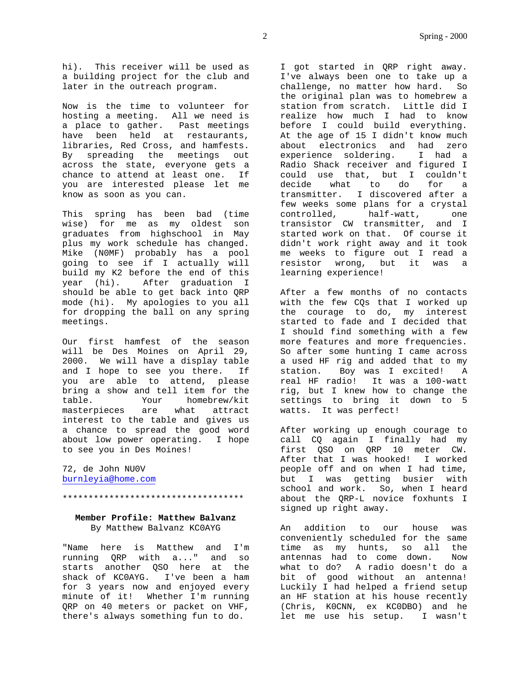hi). This receiver will be used as a building project for the club and later in the outreach program.

Now is the time to volunteer for hosting a meeting. All we need is a place to gather. Past meetings have been held at restaurants, libraries, Red Cross, and hamfests. By spreading the meetings out across the state, everyone gets a chance to attend at least one. If you are interested please let me know as soon as you can.

This spring has been bad (time wise) for me as my oldest son graduates from highschool in May plus my work schedule has changed. Mike (N0MF) probably has a pool going to see if I actually will build my K2 before the end of this year (hi). After graduation I should be able to get back into QRP mode (hi). My apologies to you all for dropping the ball on any spring meetings.

Our first hamfest of the season will be Des Moines on April 29, 2000. We will have a display table and I hope to see you there. If you are able to attend, please bring a show and tell item for the table. Your homebrew/kit masterpieces are what attract interest to the table and gives us a chance to spread the good word about low power operating. I hope to see you in Des Moines!

72, de John NU0V burnleyia@home.com

\*\*\*\*\*\*\*\*\*\*\*\*\*\*\*\*\*\*\*\*\*\*\*\*\*\*\*\*\*\*\*\*\*\*\*

# **Member Profile: Matthew Balvanz** By Matthew Balvanz KC0AYG

"Name here is Matthew and I'm running QRP with a..." and so starts another QSO here at the shack of KC0AYG. I've been a ham for 3 years now and enjoyed every minute of it! Whether I'm running QRP on 40 meters or packet on VHF, there's always something fun to do.

I got started in QRP right away. I've always been one to take up a challenge, no matter how hard. So the original plan was to homebrew a station from scratch. Little did I realize how much I had to know before I could build everything. At the age of 15 I didn't know much about electronics and had zero experience soldering. I had a Radio Shack receiver and figured I could use that, but I couldn't decide what to do for a transmitter. I discovered after a few weeks some plans for a crystal<br>controlled, half-watt, one controlled, half-watt, one transistor CW transmitter, and I started work on that. Of course it didn't work right away and it took me weeks to figure out I read a resistor wrong, but it was a learning experience!

After a few months of no contacts with the few CQs that I worked up the courage to do, my interest started to fade and I decided that I should find something with a few more features and more frequencies. So after some hunting I came across a used HF rig and added that to my station. Boy was I excited! A real HF radio! It was a 100-watt rig, but I knew how to change the settings to bring it down to 5 watts. It was perfect!

After working up enough courage to call CQ again I finally had my first QSO on QRP 10 meter CW. After that I was hooked! I worked people off and on when I had time, but I was getting busier with school and work. So, when I heard about the QRP-L novice foxhunts I signed up right away.

An addition to our house was conveniently scheduled for the same time as my hunts, so all the antennas had to come down. Now what to do? A radio doesn't do a bit of good without an antenna! Luckily I had helped a friend setup an HF station at his house recently (Chris, K0CNN, ex KC0DBO) and he let me use his setup. I wasn't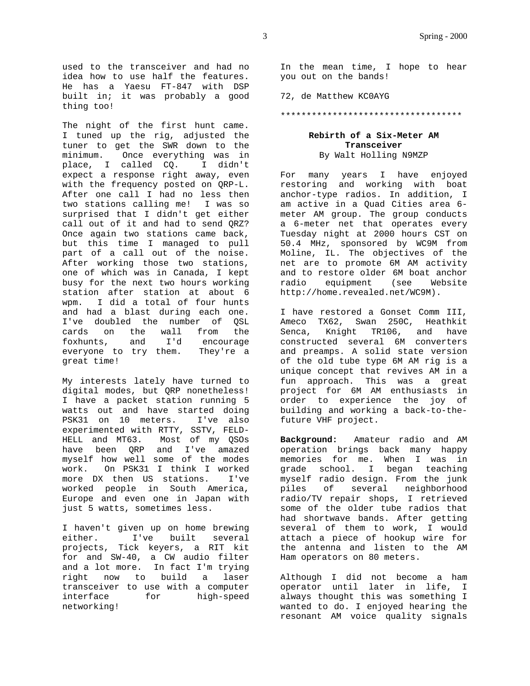The night of the first hunt came. I tuned up the rig, adjusted the tuner to get the SWR down to the minimum. Once everything was in place, I called CQ. I didn't expect a response right away, even with the frequency posted on QRP-L. After one call I had no less then two stations calling me! I was so surprised that I didn't get either call out of it and had to send QRZ? Once again two stations came back, but this time I managed to pull part of a call out of the noise. After working those two stations, one of which was in Canada, I kept busy for the next two hours working station after station at about 6 wpm. I did a total of four hunts and had a blast during each one. I've doubled the number of QSL cards on the wall from the foxhunts, and I'd encourage everyone to try them. They're a great time!

My interests lately have turned to digital modes, but QRP nonetheless! I have a packet station running 5 watts out and have started doing PSK31 on 10 meters. I've also experimented with RTTY, SSTV, FELD-HELL and MT63. Most of my QSOs have been QRP and I've amazed myself how well some of the modes work. On PSK31 I think I worked more DX then US stations. I've worked people in South America, Europe and even one in Japan with just 5 watts, sometimes less.

I haven't given up on home brewing either. I've built several projects, Tick keyers, a RIT kit for and SW-40, a CW audio filter and a lot more. In fact I'm trying right now to build a laser transceiver to use with a computer interface for high-speed networking!

72, de Matthew KC0AYG

\*\*\*\*\*\*\*\*\*\*\*\*\*\*\*\*\*\*\*\*\*\*\*\*\*\*\*\*\*\*\*\*\*\*\*

## **Rebirth of a Six-Meter AM Transceiver** By Walt Holling N9MZP

For many years I have enjoyed restoring and working with boat anchor-type radios. In addition, I am active in a Quad Cities area 6 meter AM group. The group conducts a 6-meter net that operates every Tuesday night at 2000 hours CST on 50.4 MHz, sponsored by WC9M from Moline, IL. The objectives of the net are to promote 6M AM activity and to restore older 6M boat anchor radio equipment (see Website http://home.revealed.net/WC9M).

I have restored a Gonset Comm III, Ameco TX62, Swan 250C, Heathkit Senca, Knight TR106, and have constructed several 6M converters and preamps. A solid state version of the old tube type 6M AM rig is a unique concept that revives AM in a fun approach. This was a great project for 6M AM enthusiasts in order to experience the joy of building and working a back-to-thefuture VHF project.

**Background:** Amateur radio and AM operation brings back many happy memories for me. When I was in grade school. I began teaching myself radio design. From the junk piles of several neighborhood radio/TV repair shops, I retrieved some of the older tube radios that had shortwave bands. After getting several of them to work, I would attach a piece of hookup wire for the antenna and listen to the AM Ham operators on 80 meters.

Although I did not become a ham operator until later in life, I always thought this was something I wanted to do. I enjoyed hearing the resonant AM voice quality signals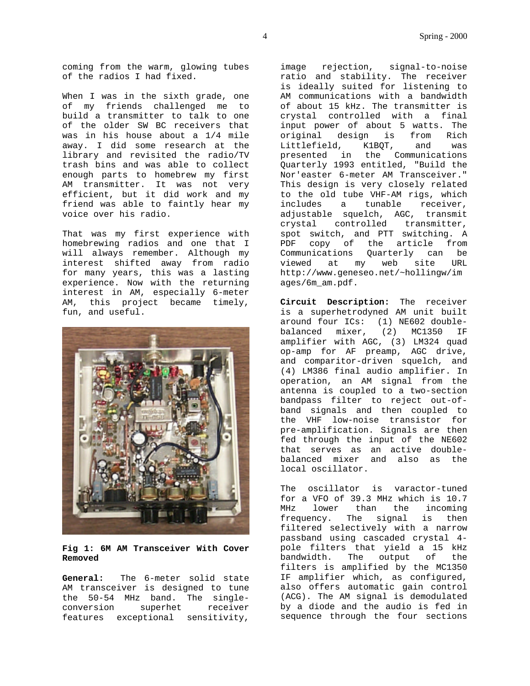coming from the warm, glowing tubes of the radios I had fixed.

When I was in the sixth grade, one of my friends challenged me to build a transmitter to talk to one of the older SW BC receivers that was in his house about a 1/4 mile away. I did some research at the library and revisited the radio/TV trash bins and was able to collect enough parts to homebrew my first AM transmitter. It was not very efficient, but it did work and my friend was able to faintly hear my voice over his radio.

That was my first experience with homebrewing radios and one that I will always remember. Although my interest shifted away from radio for many years, this was a lasting experience. Now with the returning interest in AM, especially 6-meter AM, this project became timely, fun, and useful.



## **Fig 1: 6M AM Transceiver With Cover Removed**

**General:** The 6-meter solid state AM transceiver is designed to tune the 50-54 MHz band. The singleconversion superhet receiver features exceptional sensitivity,

image rejection, signal-to-noise ratio and stability. The receiver is ideally suited for listening to AM communications with a bandwidth of about 15 kHz. The transmitter is crystal controlled with a final input power of about 5 watts. The original design is from Rich Littlefield, K1BQT, and was presented in the Communications Quarterly 1993 entitled, "Build the Nor'easter 6-meter AM Transceiver." This design is very closely related to the old tube VHF-AM rigs, which includes a tunable receiver, adjustable squelch, AGC, transmit crystal controlled transmitter, spot switch, and PTT switching. A PDF copy of the article from Communications Quarterly can be viewed at my web site URL http://www.geneseo.net/~hollingw/im ages/6m\_am.pdf.

**Circuit Description:** The receiver is a superhetrodyned AM unit built around four ICs: (1) NE602 doublebalanced mixer, (2) MC1350 IF amplifier with AGC, (3) LM324 quad op-amp for AF preamp, AGC drive, and comparitor-driven squelch, and (4) LM386 final audio amplifier. In operation, an AM signal from the antenna is coupled to a two-section bandpass filter to reject out-ofband signals and then coupled to the VHF low-noise transistor for pre-amplification. Signals are then fed through the input of the NE602 that serves as an active doublebalanced mixer and also as the local oscillator.

The oscillator is varactor-tuned for a VFO of 39.3 MHz which is 10.7 MHz lower than the incoming frequency. The signal is then filtered selectively with a narrow passband using cascaded crystal 4 pole filters that yield a 15 kHz bandwidth. The output of the filters is amplified by the MC1350 IF amplifier which, as configured, also offers automatic gain control (ACG). The AM signal is demodulated by a diode and the audio is fed in sequence through the four sections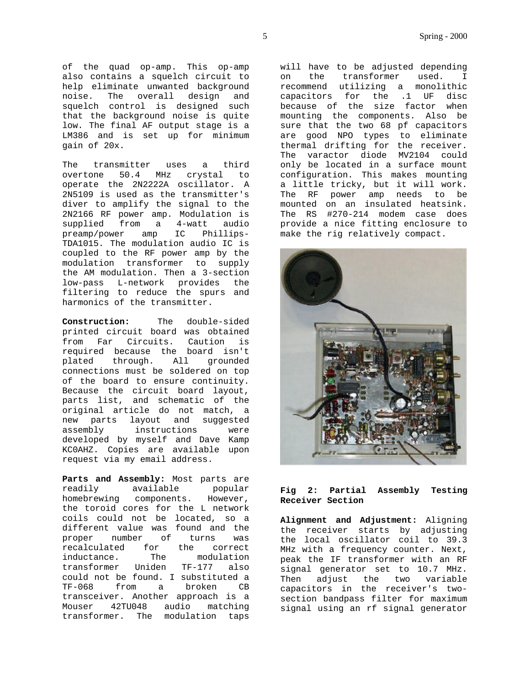of the quad op-amp. This op-amp also contains a squelch circuit to help eliminate unwanted background noise. The overall design and squelch control is designed such that the background noise is quite low. The final AF output stage is a LM386 and is set up for minimum gain of 20x.

The transmitter uses a third overtone 50.4 MHz crystal to operate the 2N2222A oscillator. A 2N5109 is used as the transmitter's diver to amplify the signal to the 2N2166 RF power amp. Modulation is supplied from a 4-watt audio preamp/power amp IC Phillips-TDA1015. The modulation audio IC is coupled to the RF power amp by the modulation transformer to supply the AM modulation. Then a 3-section low-pass L-network provides the filtering to reduce the spurs and harmonics of the transmitter.

**Construction:** The double-sided printed circuit board was obtained from Far Circuits. Caution is required because the board isn't plated through. All grounded connections must be soldered on top of the board to ensure continuity. Because the circuit board layout, parts list, and schematic of the original article do not match, a new parts layout and suggested assembly instructions were developed by myself and Dave Kamp KC0AHZ. Copies are available upon request via my email address.

**Parts and Assembly:** Most parts are readily available popular homebrewing components. However, the toroid cores for the L network coils could not be located, so a different value was found and the proper number of turns was recalculated for the correct inductance. The modulation transformer Uniden TF-177 also could not be found. I substituted a TF-068 from a broken CB transceiver. Another approach is a Mouser 42TU048 audio matching transformer. The modulation taps

will have to be adjusted depending on the transformer used. I recommend utilizing a monolithic capacitors for the .1 UF disc because of the size factor when mounting the components. Also be sure that the two 68 pf capacitors are good NPO types to eliminate thermal drifting for the receiver. The varactor diode MV2104 could only be located in a surface mount configuration. This makes mounting a little tricky, but it will work. The RF power amp needs to be mounted on an insulated heatsink. The RS #270-214 modem case does provide a nice fitting enclosure to make the rig relatively compact.



# **Fig 2: Partial Assembly Testing Receiver Section**

**Alignment and Adjustment:** Aligning the receiver starts by adjusting the local oscillator coil to 39.3 MHz with a frequency counter. Next, peak the IF transformer with an RF signal generator set to 10.7 MHz. Then adjust the two variable capacitors in the receiver's twosection bandpass filter for maximum signal using an rf signal generator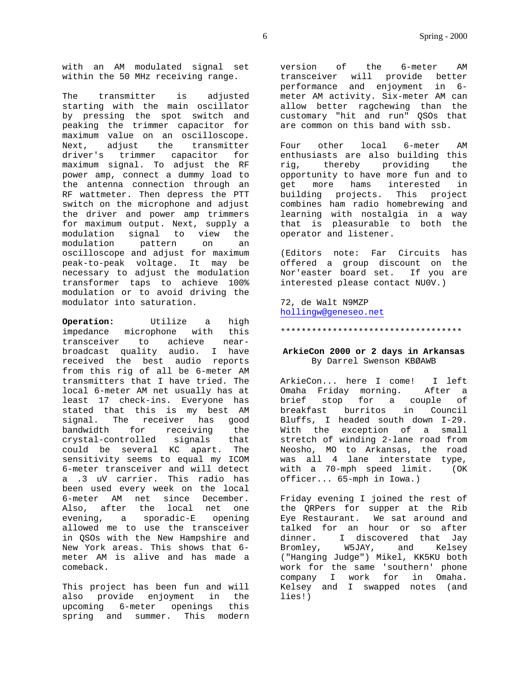with an AM modulated signal set within the 50 MHz receiving range.

The transmitter is adjusted starting with the main oscillator by pressing the spot switch and peaking the trimmer capacitor for maximum value on an oscilloscope. Next, adjust the transmitter driver's trimmer capacitor for maximum signal. To adjust the RF power amp, connect a dummy load to the antenna connection through an RF wattmeter. Then depress the PTT switch on the microphone and adjust the driver and power amp trimmers for maximum output. Next, supply a modulation signal to view the<br>modulation pattern on an modulation pattern on an oscilloscope and adjust for maximum peak-to-peak voltage. It may be necessary to adjust the modulation transformer taps to achieve 100% modulation or to avoid driving the modulator into saturation.

**Operation:** Utilize a high impedance microphone with this transceiver to achieve nearbroadcast quality audio. I have received the best audio reports from this rig of all be 6-meter AM transmitters that I have tried. The local 6-meter AM net usually has at least 17 check-ins. Everyone has stated that this is my best AM signal. The receiver has good bandwidth for receiving the crystal-controlled signals that could be several KC apart. The sensitivity seems to equal my ICOM 6-meter transceiver and will detect a .3 uV carrier. This radio has been used every week on the local 6-meter AM net since December. Also, after the local net one evening, a sporadic-E opening allowed me to use the transceiver in QSOs with the New Hampshire and New York areas. This shows that 6 meter AM is alive and has made a comeback.

This project has been fun and will also provide enjoyment in the upcoming 6-meter openings this spring and summer. This modern version of the 6-meter AM transceiver will provide better performance and enjoyment in 6 meter AM activity. Six-meter AM can allow better ragchewing than the customary "hit and run" QSOs that are common on this band with ssb.

Four other local 6-meter AM enthusiasts are also building this rig, thereby providing the opportunity to have more fun and to get more hams interested in building projects. This project combines ham radio homebrewing and learning with nostalgia in a way that is pleasurable to both the operator and listener.

(Editors note: Far Circuits has offered a group discount on the Nor'easter board set. If you are interested please contact NU0V.)

72, de Walt N9MZP hollingw@geneseo.net

#### \*\*\*\*\*\*\*\*\*\*\*\*\*\*\*\*\*\*\*\*\*\*\*\*\*\*\*\*\*\*\*\*\*\*\*

# **ArkieCon 2000 or 2 days in Arkansas** By Darrel Swenson KBØAWB

ArkieCon... here I come! I left Omaha Friday morning. After a brief stop for a couple of breakfast burritos in Council Bluffs, I headed south down I-29. With the exception of a small stretch of winding 2-lane road from Neosho, MO to Arkansas, the road was all 4 lane interstate type, with a 70-mph speed limit. (OK officer... 65-mph in Iowa.)

Friday evening I joined the rest of the QRPers for supper at the Rib Eye Restaurant. We sat around and talked for an hour or so after dinner. I discovered that Jay<br>Bromley, W5JAY, and Kelsey W5JAY, and Kelsey ("Hanging Judge") Mikel, KK5KU both work for the same 'southern' phone company I work for in Omaha. Kelsey and I swapped notes (and lies!)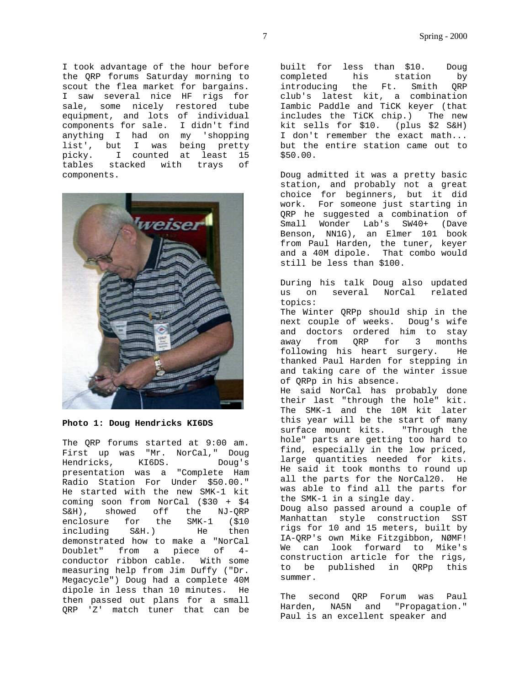I took advantage of the hour before the QRP forums Saturday morning to scout the flea market for bargains. I saw several nice HF rigs for sale, some nicely restored tube equipment, and lots of individual components for sale. I didn't find anything I had on my 'shopping list', but I was being pretty<br>picky. I counted at least 15 I counted at least 15 tables stacked with trays of components.



**Photo 1: Doug Hendricks KI6DS**

The QRP forums started at 9:00 am. First up was "Mr. NorCal," Doug Hendricks, KI6DS. Doug's presentation was a "Complete Ham Radio Station For Under \$50.00." He started with the new SMK-1 kit coming soon from NorCal (\$30 + \$4 S&H), showed off the NJ-QRP enclosure for the SMK-1 (\$10) including S&H.) He then demonstrated how to make a "NorCal Doublet" from a piece of 4 conductor ribbon cable. With some measuring help from Jim Duffy ("Dr. Megacycle") Doug had a complete 40M dipole in less than 10 minutes. He then passed out plans for a small QRP 'Z' match tuner that can be built for less than \$10. Doug completed his station by introducing the Ft. Smith QRP club's latest kit, a combination Iambic Paddle and TiCK keyer (that includes the TiCK chip.) The new kit sells for \$10. (plus \$2 S&H) I don't remember the exact math... but the entire station came out to \$50.00.

Doug admitted it was a pretty basic station, and probably not a great choice for beginners, but it did work. For someone just starting in QRP he suggested a combination of Small Wonder Lab's SW40+ (Dave Benson, NN1G), an Elmer 101 book from Paul Harden, the tuner, keyer and a 40M dipole. That combo would still be less than \$100.

During his talk Doug also updated us on several NorCal related topics:

The Winter QRPp should ship in the next couple of weeks. Doug's wife and doctors ordered him to stay away from QRP for 3 months following his heart surgery. He thanked Paul Harden for stepping in and taking care of the winter issue of QRPp in his absence.

He said NorCal has probably done their last "through the hole" kit. The SMK-1 and the 10M kit later this year will be the start of many surface mount kits. "Through the hole" parts are getting too hard to find, especially in the low priced, large quantities needed for kits. He said it took months to round up all the parts for the NorCal20. He was able to find all the parts for the SMK-1 in a single day. Doug also passed around a couple of Manhattan style construction SST rigs for 10 and 15 meters, built by IA-QRP's own Mike Fitzgibbon, NØMF! We can look forward to Mike's construction article for the rigs,

to be published in QRPp this summer.

The second QRP Forum was Paul Harden, NA5N and "Propagation." Paul is an excellent speaker and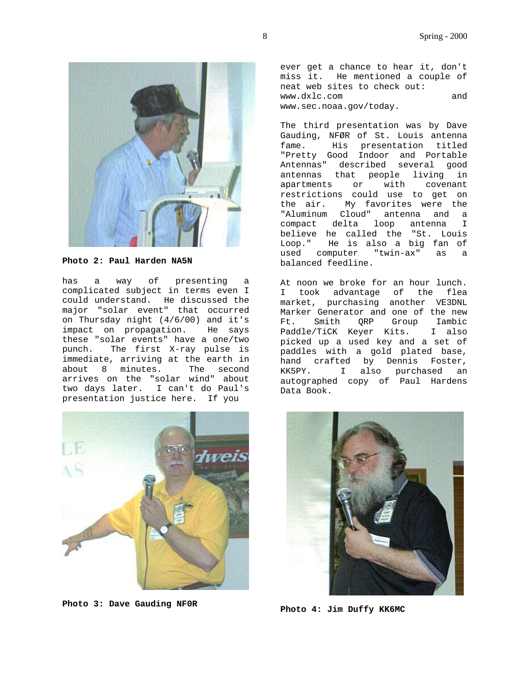

**Photo 2: Paul Harden NA5N**

has a way of presenting a complicated subject in terms even I could understand. He discussed the major "solar event" that occurred on Thursday night (4/6/00) and it's impact on propagation. He says these "solar events" have a one/two punch. The first X-ray pulse is immediate, arriving at the earth in about 8 minutes. The second arrives on the "solar wind" about two days later. I can't do Paul's presentation justice here. If you



**Photo 3: Dave Gauding NF0R**

ever get a chance to hear it, don't miss it. He mentioned a couple of neat web sites to check out: www.dxlc.com and www.sec.noaa.gov/today.

The third presentation was by Dave Gauding, NFØR of St. Louis antenna fame. His presentation titled "Pretty Good Indoor and Portable Antennas" described several good antennas that people living in apartments or with covenant restrictions could use to get on the air. My favorites were the "Aluminum Cloud" antenna and a compact delta loop antenna I believe he called the "St. Louis Loop." He is also a big fan of used computer "twin-ax" as a balanced feedline.

At noon we broke for an hour lunch. I took advantage of the flea market, purchasing another VE3DNL Marker Generator and one of the new Ft. Smith QRP Group Iambic Paddle/TiCK Keyer Kits. I also picked up a used key and a set of paddles with a gold plated base, hand crafted by Dennis Foster, KK5PY. I also purchased an autographed copy of Paul Hardens Data Book.



**Photo 4: Jim Duffy KK6MC**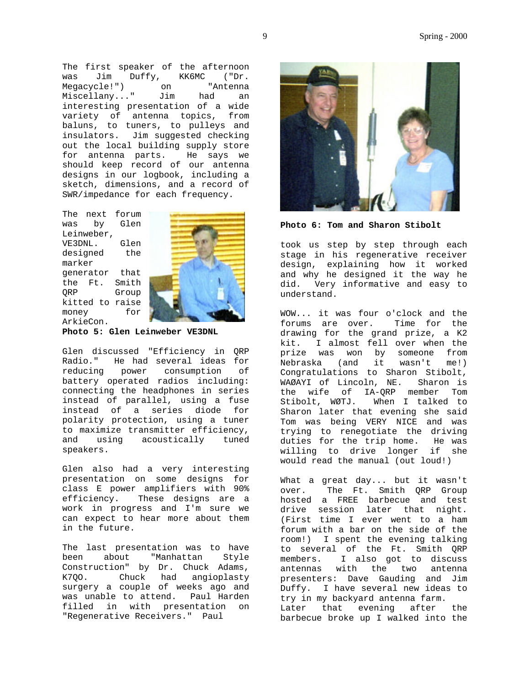The first speaker of the afternoon was Jim Duffy, KK6MC ("Dr. Megacycle!") on "Antenna<br>Miscellany..." Jim had an Miscellany..." Jim had an interesting presentation of a wide variety of antenna topics, from baluns, to tuners, to pulleys and insulators. Jim suggested checking out the local building supply store for antenna parts. He says we should keep record of our antenna designs in our logbook, including a sketch, dimensions, and a record of SWR/impedance for each frequency.

The next forum was by Glen Leinweber, VE3DNL. Glen designed the marker generator that the Ft. Smith QRP Group kitted to raise money for ArkieCon.



**Photo 5: Glen Leinweber VE3DNL**

Glen discussed "Efficiency in QRP Radio." He had several ideas for reducing power consumption of battery operated radios including: connecting the headphones in series instead of parallel, using a fuse instead of a series diode for polarity protection, using a tuner to maximize transmitter efficiency, and using acoustically tuned speakers.

Glen also had a very interesting presentation on some designs for class E power amplifiers with 90% efficiency. These designs are a work in progress and I'm sure we can expect to hear more about them in the future.

The last presentation was to have been about "Manhattan Style Construction" by Dr. Chuck Adams, K7QO. Chuck had angioplasty surgery a couple of weeks ago and was unable to attend. Paul Harden filled in with presentation on "Regenerative Receivers." Paul



**Photo 6: Tom and Sharon Stibolt**

took us step by step through each stage in his regenerative receiver design, explaining how it worked and why he designed it the way he did. Very informative and easy to understand.

WOW... it was four o'clock and the<br>forums are over. Time for the forums are over. drawing for the grand prize, a K2 kit. I almost fell over when the prize was won by someone from Nebraska (and it wasn't me!) Congratulations to Sharon Stibolt, WAØAYI of Lincoln, NE. Sharon is the wife of IA-QRP member Tom Stibolt, WØTJ. When I talked to Sharon later that evening she said Tom was being VERY NICE and was trying to renegotiate the driving duties for the trip home. He was willing to drive longer if she would read the manual (out loud!)

What a great day... but it wasn't over. The Ft. Smith QRP Group hosted a FREE barbecue and test drive session later that night. (First time I ever went to a ham forum with a bar on the side of the room!) I spent the evening talking to several of the Ft. Smith QRP members. I also got to discuss antennas with the two antenna presenters: Dave Gauding and Jim Duffy. I have several new ideas to try in my backyard antenna farm. Later that evening after the barbecue broke up I walked into the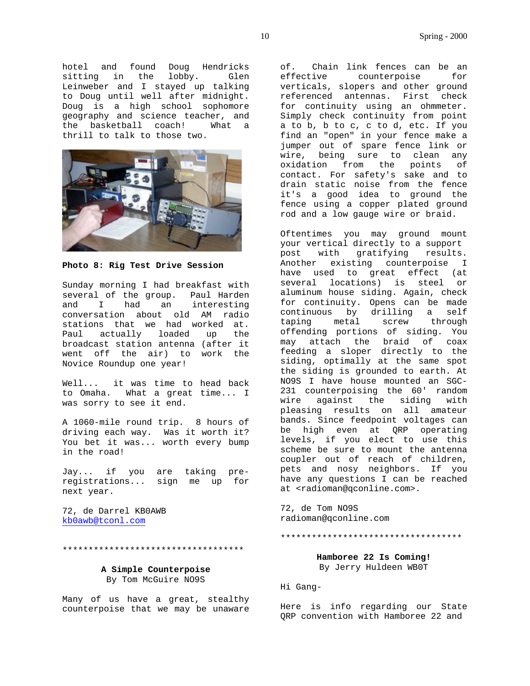hotel and found Doug Hendricks sitting in the lobby. Glen Leinweber and I stayed up talking to Doug until well after midnight. Doug is a high school sophomore geography and science teacher, and the basketball coach! What a thrill to talk to those two.



**Photo 8: Rig Test Drive Session**

Sunday morning I had breakfast with several of the group. Paul Harden and I had an interesting conversation about old AM radio stations that we had worked at. Paul actually loaded up the broadcast station antenna (after it went off the air) to work the Novice Roundup one year!

Well... it was time to head back to Omaha. What a great time... I was sorry to see it end.

A 1060-mile round trip. 8 hours of driving each way. Was it worth it? You bet it was... worth every bump in the road!

Jay... if you are taking preregistrations... sign me up for next year.

72, de Darrel KB0AWB kb0awb@tconl.com

\*\*\*\*\*\*\*\*\*\*\*\*\*\*\*\*\*\*\*\*\*\*\*\*\*\*\*\*\*\*\*\*\*\*\*

### **A Simple Counterpoise** By Tom McGuire NO9S

Many of us have a great, stealthy counterpoise that we may be unaware of. Chain link fences can be an effective counterpoise for verticals, slopers and other ground referenced antennas. First check for continuity using an ohmmeter. Simply check continuity from point a to b, b to c, c to d, etc. If you find an "open" in your fence make a jumper out of spare fence link or wire, being sure to clean any oxidation from the points of contact. For safety's sake and to drain static noise from the fence it's a good idea to ground the fence using a copper plated ground rod and a low gauge wire or braid.

Oftentimes you may ground mount your vertical directly to a support post with gratifying results. Another existing counterpoise I have used to great effect (at several locations) is steel or aluminum house siding. Again, check for continuity. Opens can be made continuous by drilling a self taping metal screw through offending portions of siding. You may attach the braid of coax feeding a sloper directly to the siding, optimally at the same spot the siding is grounded to earth. At NO9S I have house mounted an SGC-231 counterpoising the 60' random wire against the siding with pleasing results on all amateur bands. Since feedpoint voltages can be high even at QRP operating levels, if you elect to use this scheme be sure to mount the antenna coupler out of reach of children, pets and nosy neighbors. If you have any questions I can be reached at <radioman@qconline.com>.

72, de Tom NO9S radioman@qconline.com

\*\*\*\*\*\*\*\*\*\*\*\*\*\*\*\*\*\*\*\*\*\*\*\*\*\*\*\*\*\*\*\*\*\*\*

# **Hamboree 22 Is Coming!** By Jerry Huldeen WB0T

Hi Gang-

Here is info regarding our State QRP convention with Hamboree 22 and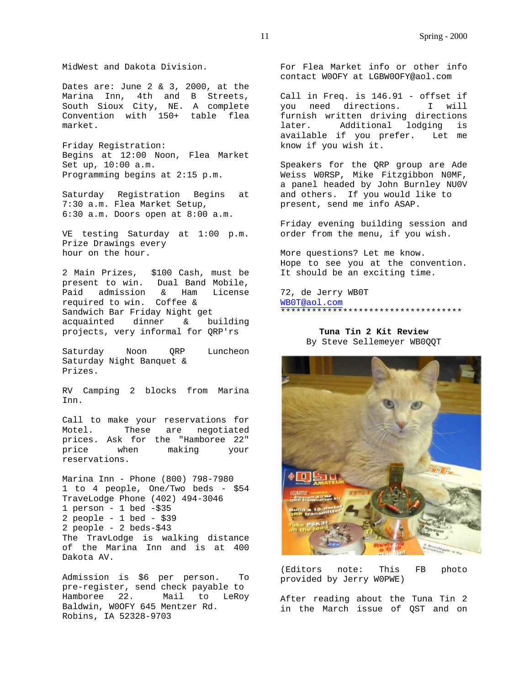MidWest and Dakota Division.

Dates are: June 2 & 3, 2000, at the Marina Inn, 4th and B Streets, South Sioux City, NE. A complete Convention with 150+ table flea market.

Friday Registration: Begins at 12:00 Noon, Flea Market Set up, 10:00 a.m. Programming begins at 2:15 p.m.

Saturday Registration Begins at 7:30 a.m. Flea Market Setup, 6:30 a.m. Doors open at 8:00 a.m.

VE testing Saturday at 1:00 p.m. Prize Drawings every hour on the hour.

2 Main Prizes, \$100 Cash, must be present to win. Dual Band Mobile, Paid admission & Ham License required to win. Coffee & Sandwich Bar Friday Night get acquainted dinner & building projects, very informal for QRP'rs

Saturday Noon ORP Luncheon Saturday Night Banquet & Prizes.

RV Camping 2 blocks from Marina Inn.

Call to make your reservations for Motel. These are negotiated prices. Ask for the "Hamboree 22" price when making your reservations.

Marina Inn - Phone (800) 798-7980 1 to 4 people, One/Two beds - \$54 TraveLodge Phone (402) 494-3046 1 person - 1 bed -\$35 2 people - 1 bed - \$39 2 people - 2 beds-\$43 The TravLodge is walking distance of the Marina Inn and is at 400 Dakota AV.

Admission is \$6 per person. To pre-register, send check payable to Hamboree 22. Mail to LeRoy Baldwin, W0OFY 645 Mentzer Rd. Robins, IA 52328-9703

For Flea Market info or other info contact W0OFY at LGBW0OFY@aol.com

Call in Freq. is 146.91 - offset if you need directions. I will furnish written driving directions later. Additional lodging is available if you prefer. Let me know if you wish it.

Speakers for the QRP group are Ade Weiss W0RSP, Mike Fitzgibbon N0MF, a panel headed by John Burnley NU0V and others. If you would like to present, send me info ASAP.

Friday evening building session and order from the menu, if you wish.

More questions? Let me know. Hope to see you at the convention. It should be an exciting time.

72, de Jerry WB0T WB0T@aol.com \*\*\*\*\*\*\*\*\*\*\*\*\*\*\*\*\*\*\*\*\*\*\*\*\*\*\*\*\*\*\*\*\*\*\*

> **Tuna Tin 2 Kit Review** By Steve Sellemeyer WB0QQT



(Editors note: This FB photo provided by Jerry W0PWE)

After reading about the Tuna Tin 2 in the March issue of QST and on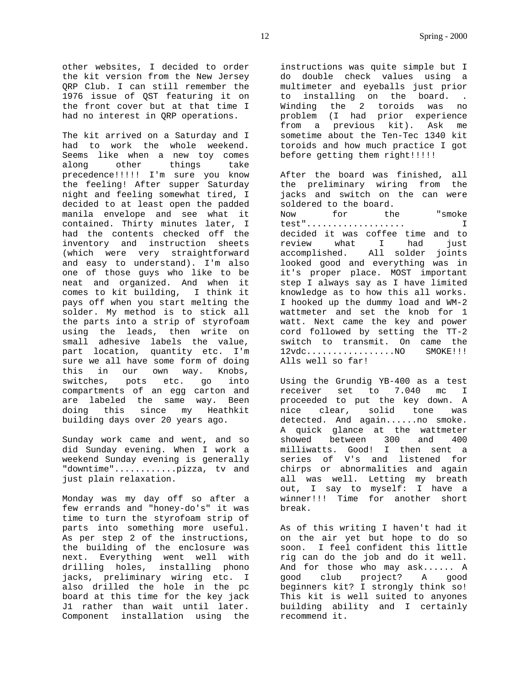other websites, I decided to order the kit version from the New Jersey QRP Club. I can still remember the 1976 issue of QST featuring it on the front cover but at that time I had no interest in QRP operations.

The kit arrived on a Saturday and I had to work the whole weekend. Seems like when a new toy comes along other things take precedence!!!!! I'm sure you know the feeling! After supper Saturday night and feeling somewhat tired, I decided to at least open the padded manila envelope and see what it contained. Thirty minutes later, I had the contents checked off the inventory and instruction sheets (which were very straightforward and easy to understand). I'm also one of those guys who like to be neat and organized. And when it comes to kit building, I think it pays off when you start melting the solder. My method is to stick all the parts into a strip of styrofoam using the leads, then write on small adhesive labels the value, part location, quantity etc. I'm sure we all have some form of doing this in our own way. Knobs, switches, pots etc. go into compartments of an egg carton and are labeled the same way. Been doing this since my Heathkit building days over 20 years ago.

Sunday work came and went, and so did Sunday evening. When I work a weekend Sunday evening is generally "downtime"............pizza, tv and just plain relaxation.

Monday was my day off so after a few errands and "honey-do's" it was time to turn the styrofoam strip of parts into something more useful. As per step 2 of the instructions, the building of the enclosure was next. Everything went well with drilling holes, installing phono jacks, preliminary wiring etc. I also drilled the hole in the pc board at this time for the key jack J1 rather than wait until later. Component installation using the

instructions was quite simple but I do double check values using a multimeter and eyeballs just prior to installing on the board. . Winding the 2 toroids was no problem (I had prior experience from a previous kit). Ask me sometime about the Ten-Tec 1340 kit toroids and how much practice I got before getting them right!!!!!!

After the board was finished, all the preliminary wiring from the jacks and switch on the can were soldered to the board. Now for the "smoke test"................... I decided it was coffee time and to review what I had just accomplished. All solder joints looked good and everything was in it's proper place. MOST important step I always say as I have limited knowledge as to how this all works. I hooked up the dummy load and WM-2 wattmeter and set the knob for 1 watt. Next came the key and power cord followed by setting the TT-2 switch to transmit. On came the 12vdc...................NO SMOKE!!!! Alls well so far!

Using the Grundig YB-400 as a test receiver set to 7.040 mc I proceeded to put the key down. A nice clear, solid tone was detected. And again......no smoke. A quick glance at the wattmeter showed between 300 and 400 milliwatts. Good! I then sent a series of V's and listened for chirps or abnormalities and again all was well. Letting my breath out, I say to myself: I have a winner!!! Time for another short break.

As of this writing I haven't had it on the air yet but hope to do so soon. I feel confident this little rig can do the job and do it well. And for those who may ask...... A good club project? A good beginners kit? I strongly think so! This kit is well suited to anyones building ability and I certainly recommend it.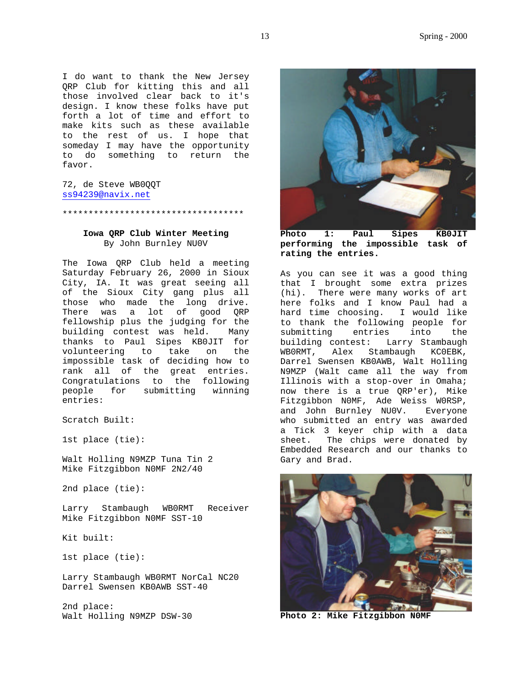I do want to thank the New Jersey QRP Club for kitting this and all those involved clear back to it's design. I know these folks have put forth a lot of time and effort to make kits such as these available to the rest of us. I hope that someday I may have the opportunity to do something to return the favor.

72, de Steve WB0QQT ss94239@navix.net

\*\*\*\*\*\*\*\*\*\*\*\*\*\*\*\*\*\*\*\*\*\*\*\*\*\*\*\*\*\*\*\*\*\*\*

# **Iowa QRP Club Winter Meeting** By John Burnley NU0V

The Iowa QRP Club held a meeting Saturday February 26, 2000 in Sioux City, IA. It was great seeing all of the Sioux City gang plus all those who made the long drive. There was a lot of good QRP fellowship plus the judging for the building contest was held. Many thanks to Paul Sipes KB0JIT for volunteering to take on the impossible task of deciding how to rank all of the great entries. Congratulations to the following people for submitting winning entries:

Scratch Built:

1st place (tie):

Walt Holling N9MZP Tuna Tin 2 Mike Fitzgibbon N0MF 2N2/40

2nd place (tie):

Larry Stambaugh WB0RMT Receiver Mike Fitzgibbon N0MF SST-10

Kit built:

1st place (tie):

Larry Stambaugh WB0RMT NorCal NC20 Darrel Swensen KB0AWB SST-40

2nd place: Walt Holling N9MZP DSW-30



**performing the impossible task of rating the entries.**

As you can see it was a good thing that I brought some extra prizes (hi). There were many works of art here folks and I know Paul had a hard time choosing. I would like to thank the following people for submitting entries into the building contest: Larry Stambaugh WB0RMT, Alex Stambaugh KC0EBK, Darrel Swensen KB0AWB, Walt Holling N9MZP (Walt came all the way from Illinois with a stop-over in Omaha; now there is a true QRP'er), Mike Fitzgibbon N0MF, Ade Weiss W0RSP, and John Burnley NU0V. Everyone who submitted an entry was awarded a Tick 3 keyer chip with a data sheet. The chips were donated by Embedded Research and our thanks to Gary and Brad.



**Photo 2: Mike Fitzgibbon N0MF**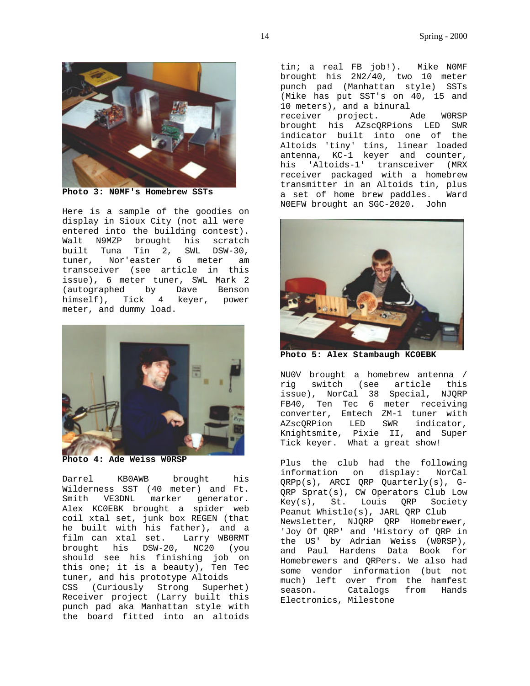

**Photo 3: N0MF's Homebrew SSTs**

Here is a sample of the goodies on display in Sioux City (not all were entered into the building contest). Walt N9MZP brought his scratch built Tuna Tin 2, SWL DSW-30, tuner, Nor'easter 6 meter am transceiver (see article in this issue), 6 meter tuner, SWL Mark 2 (autographed by Dave Benson himself), Tick 4 keyer, power meter, and dummy load.



**Photo 4: Ade Weiss W0RSP**

Darrel KB0AWB brought his Wilderness SST (40 meter) and Ft. marker generator. Alex KC0EBK brought a spider web coil xtal set, junk box REGEN (that he built with his father), and a film can xtal set. Larry WB0RMT brought his DSW-20, NC20 (you should see his finishing job on this one; it is a beauty), Ten Tec tuner, and his prototype Altoids CSS (Curiously Strong Superhet) Receiver project (Larry built this punch pad aka Manhattan style with the board fitted into an altoids

tin; a real FB job!). Mike N0MF brought his 2N2/40, two 10 meter punch pad (Manhattan style) SSTs (Mike has put SST's on 40, 15 and 10 meters), and a binural receiver project. Ade W0RSP brought his AZscQRPions LED SWR

indicator built into one of the Altoids 'tiny' tins, linear loaded antenna, KC-1 keyer and counter, his 'Altoids-1' transceiver (MRX receiver packaged with a homebrew transmitter in an Altoids tin, plus a set of home brew paddles. Ward N0EFW brought an SGC-2020. John



**Photo 5: Alex Stambaugh KC0EBK**

NU0V brought a homebrew antenna / rig switch (see article this issue), NorCal 38 Special, NJQRP FB40, Ten Tec 6 meter receiving converter, Emtech ZM-1 tuner with AZscQRPion LED SWR indicator, Knightsmite, Pixie II, and Super Tick keyer. What a great show!

Plus the club had the following information on display: NorCal QRPp(s), ARCI QRP Quarterly(s), G-QRP Sprat(s), CW Operators Club Low Key(s), St. Louis QRP Society Peanut Whistle(s), JARL QRP Club Newsletter, NJQRP QRP Homebrewer, 'Joy Of QRP' and 'History of QRP in the US' by Adrian Weiss (W0RSP), and Paul Hardens Data Book for Homebrewers and QRPers. We also had some vendor information (but not much) left over from the hamfest<br>season. Catalogs from Hands Catalogs from Hands Electronics, Milestone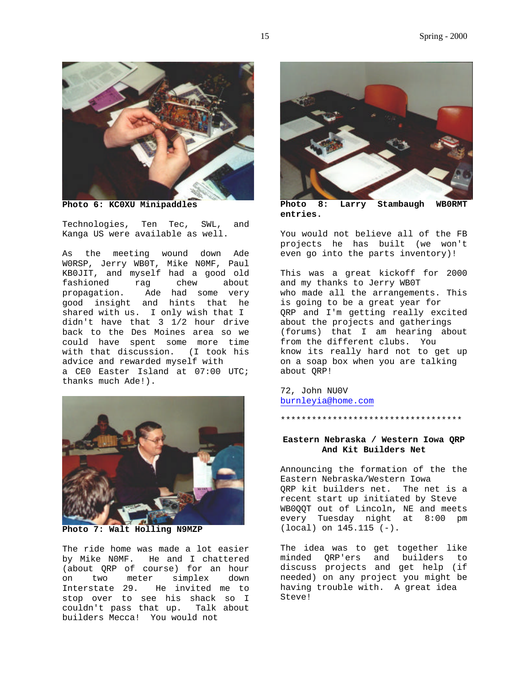

**Photo 6: KC0XU Minipaddles**

Technologies, Ten Tec, SWL, and Kanga US were available as well.

As the meeting wound down Ade W0RSP, Jerry WB0T, Mike N0MF, Paul KB0JIT, and myself had a good old fashioned rag chew about<br>propagation. Ade had some very good insight Ade had some very good insight and hints that he shared with us. I only wish that I didn't have that 3 1/2 hour drive back to the Des Moines area so we could have spent some more time with that discussion. (I took his advice and rewarded myself with a CE0 Easter Island at 07:00 UTC; thanks much Ade!).



**Photo 7: Walt Holling N9MZP**

The ride home was made a lot easier by Mike N0MF. He and I chattered (about QRP of course) for an hour on two meter simplex down Interstate 29. He invited me to stop over to see his shack so I couldn't pass that up. Talk about builders Mecca! You would not



**Photo 8: Larry Stambaugh WB0RMT entries.**

You would not believe all of the FB projects he has built (we won't even go into the parts inventory)!

This was a great kickoff for 2000 and my thanks to Jerry WB0T who made all the arrangements. This is going to be a great year for QRP and I'm getting really excited about the projects and gatherings (forums) that I am hearing about from the different clubs. You know its really hard not to get up on a soap box when you are talking about QRP!

72, John NU0V burnleyia@home.com

\*\*\*\*\*\*\*\*\*\*\*\*\*\*\*\*\*\*\*\*\*\*\*\*\*\*\*\*\*\*\*\*\*\*\*

#### **Eastern Nebraska / Western Iowa QRP And Kit Builders Net**

Announcing the formation of the the Eastern Nebraska/Western Iowa QRP kit builders net. The net is a recent start up initiated by Steve WB0QQT out of Lincoln, NE and meets every Tuesday night at 8:00 pm (local) on 145.115 (-).

The idea was to get together like minded QRP'ers and builders to discuss projects and get help (if needed) on any project you might be having trouble with. A great idea Steve!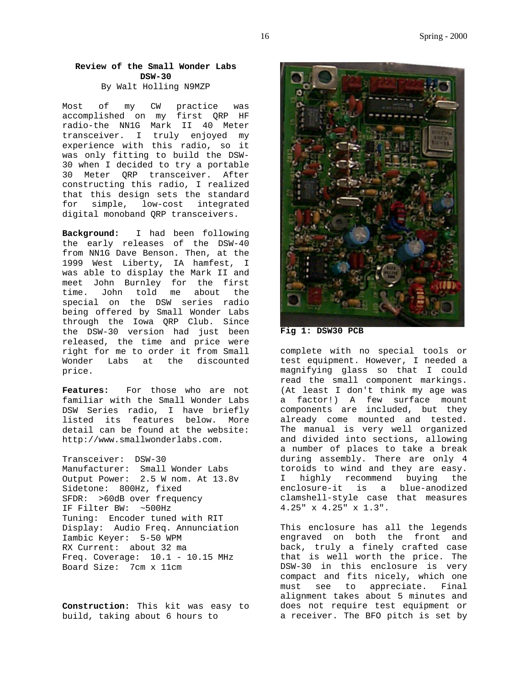# **Review of the Small Wonder Labs DSW-30**

By Walt Holling N9MZP

Most of my CW practice was accomplished on my first QRP HF radio-the NN1G Mark II 40 Meter transceiver. I truly enjoyed my experience with this radio, so it was only fitting to build the DSW-30 when I decided to try a portable 30 Meter QRP transceiver. After constructing this radio, I realized that this design sets the standard for simple, low-cost integrated digital monoband QRP transceivers.

**Background:** I had been following the early releases of the DSW-40 from NN1G Dave Benson. Then, at the 1999 West Liberty, IA hamfest, I was able to display the Mark II and meet John Burnley for the first time. John told me about the special on the DSW series radio being offered by Small Wonder Labs through the Iowa QRP Club. Since the DSW-30 version had just been released, the time and price were right for me to order it from Small Wonder Labs at the discounted price.

**Features:** For those who are not familiar with the Small Wonder Labs DSW Series radio, I have briefly listed its features below. More detail can be found at the website: http://www.smallwonderlabs.com.

Transceiver: DSW-30 Manufacturer: Small Wonder Labs Output Power: 2.5 W nom. At 13.8v Sidetone: 800Hz, fixed SFDR: >60dB over frequency IF Filter BW: ~500Hz Tuning: Encoder tuned with RIT Display: Audio Freq. Annunciation Iambic Keyer: 5-50 WPM RX Current: about 32 ma Freq. Coverage:  $10.1 - 10.15$  MHz Board Size: 7cm x 11cm

**Construction:** This kit was easy to build, taking about 6 hours to



**Fig 1: DSW30 PCB**

complete with no special tools or test equipment. However, I needed a magnifying glass so that I could read the small component markings. (At least I don't think my age was a factor!) A few surface mount components are included, but they already come mounted and tested. The manual is very well organized and divided into sections, allowing a number of places to take a break during assembly. There are only 4 toroids to wind and they are easy. I highly recommend buying the enclosure-it is a blue-anodized clamshell-style case that measures 4.25" x 4.25" x 1.3".

This enclosure has all the legends engraved on both the front and back, truly a finely crafted case that is well worth the price. The DSW-30 in this enclosure is very compact and fits nicely, which one must see to appreciate. Final alignment takes about 5 minutes and does not require test equipment or a receiver. The BFO pitch is set by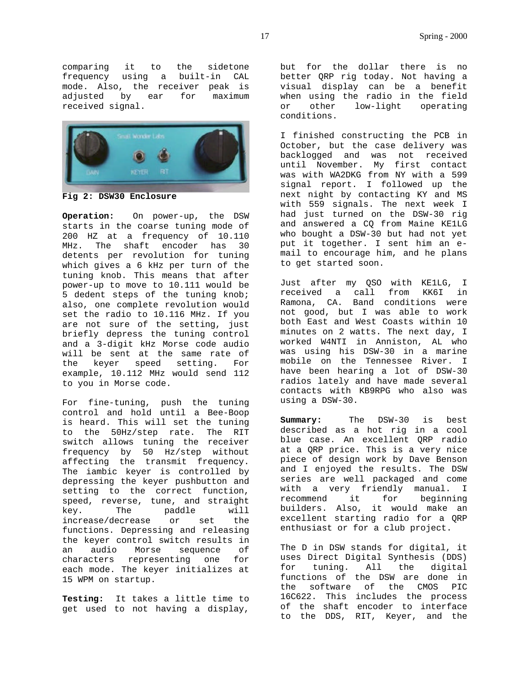comparing it to the sidetone frequency using a built-in CAL mode. Also, the receiver peak is<br>adjusted by ear for maximum ear for maximum received signal.



**Fig 2: DSW30 Enclosure**

**Operation:** On power-up, the DSW starts in the coarse tuning mode of 200 HZ at a frequency of 10.110 MHz. The shaft encoder has 30 detents per revolution for tuning which gives a 6 kHz per turn of the tuning knob. This means that after power-up to move to 10.111 would be 5 dedent steps of the tuning knob; also, one complete revolution would set the radio to 10.116 MHz. If you are not sure of the setting, just briefly depress the tuning control and a 3-digit kHz Morse code audio will be sent at the same rate of the keyer speed setting. For example, 10.112 MHz would send 112 to you in Morse code.

For fine-tuning, push the tuning control and hold until a Bee-Boop is heard. This will set the tuning to the 50Hz/step rate. The RIT switch allows tuning the receiver frequency by 50 Hz/step without affecting the transmit frequency. The iambic keyer is controlled by depressing the keyer pushbutton and setting to the correct function, speed, reverse, tune, and straight key. The paddle will increase/decrease or set the functions. Depressing and releasing the keyer control switch results in an audio Morse sequence of characters representing one for each mode. The keyer initializes at 15 WPM on startup.

**Testing:** It takes a little time to get used to not having a display,

but for the dollar there is no better QRP rig today. Not having a visual display can be a benefit when using the radio in the field or other low-light operating conditions.

I finished constructing the PCB in October, but the case delivery was backlogged and was not received until November. My first contact was with WA2DKG from NY with a 599 signal report. I followed up the next night by contacting KY and MS with 559 signals. The next week I had just turned on the DSW-30 rig and answered a CQ from Maine KE1LG who bought a DSW-30 but had not yet put it together. I sent him an email to encourage him, and he plans to get started soon.

Just after my QSO with KE1LG, I received a call from KK6I in Ramona, CA. Band conditions were not good, but I was able to work both East and West Coasts within 10 minutes on 2 watts. The next day, I worked W4NTI in Anniston, AL who was using his DSW-30 in a marine mobile on the Tennessee River. I have been hearing a lot of DSW-30 radios lately and have made several contacts with KB9RPG who also was using a DSW-30.

**Summary:** The DSW-30 is best described as a hot rig in a cool blue case. An excellent QRP radio at a QRP price. This is a very nice piece of design work by Dave Benson and I enjoyed the results. The DSW series are well packaged and come with a very friendly manual. I recommend it for beginning builders. Also, it would make an excellent starting radio for a QRP enthusiast or for a club project.

The D in DSW stands for digital, it uses Direct Digital Synthesis (DDS) for tuning. All the digital functions of the DSW are done in the software of the CMOS PIC 16C622. This includes the process of the shaft encoder to interface to the DDS, RIT, Keyer, and the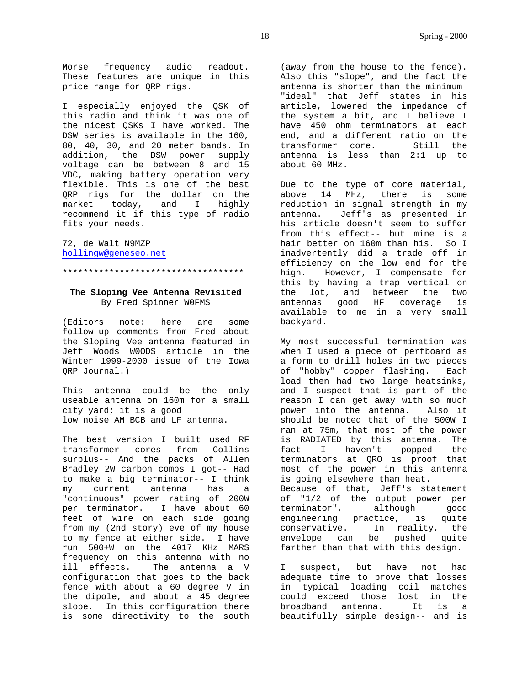Morse frequency audio readout. These features are unique in this price range for QRP rigs.

I especially enjoyed the QSK of this radio and think it was one of the nicest QSKs I have worked. The DSW series is available in the 160, 80, 40, 30, and 20 meter bands. In addition, the DSW power supply voltage can be between 8 and 15 VDC, making battery operation very flexible. This is one of the best QRP rigs for the dollar on the market today, and I highly recommend it if this type of radio fits your needs.

72, de Walt N9MZP hollingw@geneseo.net

# **The Sloping Vee Antenna Revisited** By Fred Spinner W0FMS

\*\*\*\*\*\*\*\*\*\*\*\*\*\*\*\*\*\*\*\*\*\*\*\*\*\*\*\*\*\*\*\*\*\*\*

(Editors note: here are some follow-up comments from Fred about the Sloping Vee antenna featured in Jeff Woods W0ODS article in the Winter 1999-2000 issue of the Iowa QRP Journal.)

This antenna could be the only useable antenna on 160m for a small city yard; it is a good low noise AM BCB and LF antenna.

The best version I built used RF transformer cores from Collins surplus-- And the packs of Allen Bradley 2W carbon comps I got-- Had to make a big terminator-- I think my current antenna has a "continuous" power rating of 200W per terminator. I have about 60 feet of wire on each side going from my (2nd story) eve of my house to my fence at either side. I have run 500+W on the 4017 KHz MARS frequency on this antenna with no ill effects. The antenna a V configuration that goes to the back fence with about a 60 degree V in the dipole, and about a 45 degree slope. In this configuration there is some directivity to the south

(away from the house to the fence). Also this "slope", and the fact the antenna is shorter than the minimum "ideal" that Jeff states in his article, lowered the impedance of the system a bit, and I believe I have 450 ohm terminators at each end, and a different ratio on the transformer core. Still the antenna is less than 2:1 up to about 60 MHz.

Due to the type of core material,<br>above 14 MHz, there is some there is some reduction in signal strength in my antenna. Jeff's as presented in his article doesn't seem to suffer from this effect-- but mine is a hair better on 160m than his. So I inadvertently did a trade off in efficiency on the low end for the high. However, I compensate for this by having a trap vertical on the lot, and between the two antennas good HF coverage is available to me in a very small backyard.

My most successful termination was when I used a piece of perfboard as a form to drill holes in two pieces of "hobby" copper flashing. Each load then had two large heatsinks, and I suspect that is part of the reason I can get away with so much power into the antenna. Also it should be noted that of the 500W I ran at 75m, that most of the power is RADIATED by this antenna. The fact I haven't popped the terminators at QRO is proof that most of the power in this antenna is going elsewhere than heat. Because of that, Jeff's statement of "1/2 of the output power per terminator", although good engineering practice, is quite

conservative. In reality, the envelope can be pushed quite farther than that with this design.

I suspect, but have not had adequate time to prove that losses in typical loading coil matches could exceed those lost in the broadband antenna. It is a beautifully simple design-- and is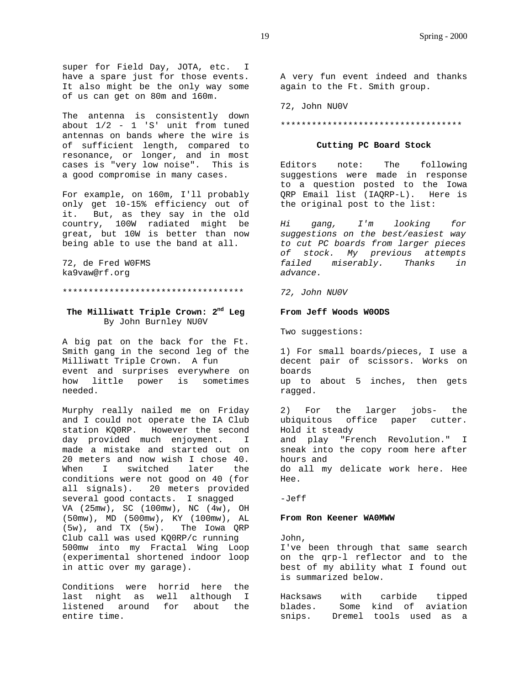super for Field Day, JOTA, etc. I have a spare just for those events. It also might be the only way some of us can get on 80m and 160m.

The antenna is consistently down about 1/2 - 1 'S' unit from tuned antennas on bands where the wire is of sufficient length, compared to resonance, or longer, and in most cases is "very low noise". This is a good compromise in many cases.

For example, on 160m, I'll probably only get 10-15% efficiency out of it. But, as they say in the old country, 100W radiated might be great, but 10W is better than now being able to use the band at all.

72, de Fred W0FMS ka9vaw@rf.org

\*\*\*\*\*\*\*\*\*\*\*\*\*\*\*\*\*\*\*\*\*\*\*\*\*\*\*\*\*\*\*\*\*\*\*

# **The Milliwatt Triple Crown: 2nd Leg** By John Burnley NU0V

A big pat on the back for the Ft. Smith gang in the second leg of the Milliwatt Triple Crown. A fun event and surprises everywhere on how little power is sometimes needed.

Murphy really nailed me on Friday and I could not operate the IA Club station KQ0RP. However the second<br>day provided much enjovment. T day provided much enjoyment. made a mistake and started out on 20 meters and now wish I chose 40. When I switched later the conditions were not good on 40 (for all signals). 20 meters provided several good contacts. I snagged VA (25mw), SC (100mw), NC (4w), OH (50mw), MD (500mw), KY (100mw), AL (5w), and TX (5w). The Iowa QRP Club call was used KQ0RP/c running 500mw into my Fractal Wing Loop (experimental shortened indoor loop in attic over my garage).

Conditions were horrid here the last night as well although I listened around for about the entire time.

A very fun event indeed and thanks again to the Ft. Smith group.

72, John NU0V

\*\*\*\*\*\*\*\*\*\*\*\*\*\*\*\*\*\*\*\*\*\*\*\*\*\*\*\*\*\*\*\*\*\*\*

#### **Cutting PC Board Stock**

Editors note: The following suggestions were made in response to a question posted to the Iowa QRP Email list (IAQRP-L). Here is the original post to the list:

*Hi gang, I'm looking for suggestions on the best/easiest way to cut PC boards from larger pieces of stock. My previous attempts failed miserably. Thanks in advance.*

*72, John NU0V*

#### **From Jeff Woods W0ODS**

Two suggestions:

1) For small boards/pieces, I use a decent pair of scissors. Works on boards up to about 5 inches, then gets ragged.

2) For the larger jobs- the ubiquitous office paper cutter. Hold it steady and play "French Revolution." I sneak into the copy room here after hours and do all my delicate work here. Hee Hee.

-Jeff

#### **From Ron Keener WA0MWW**

John, I've been through that same search on the qrp-l reflector and to the best of my ability what I found out is summarized below.

Hacksaws with carbide tipped blades. Some kind of aviation snips. Dremel tools used as a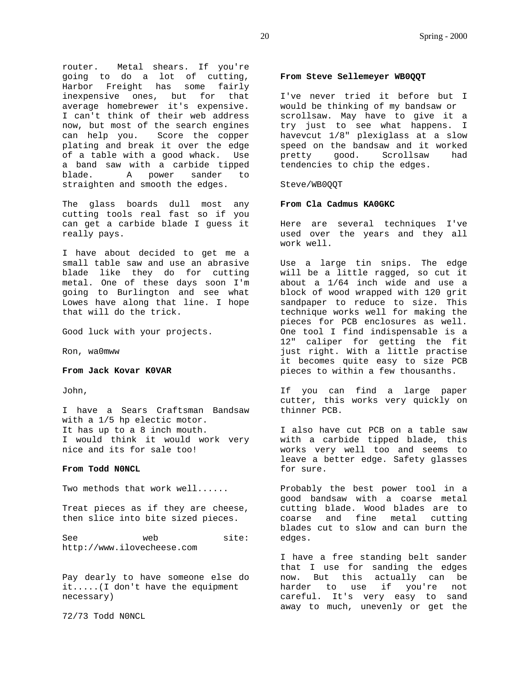router. Metal shears. If you're going to do a lot of cutting, Harbor Freight has some fairly inexpensive ones, but for that average homebrewer it's expensive. I can't think of their web address now, but most of the search engines can help you. Score the copper plating and break it over the edge of a table with a good whack. Use a band saw with a carbide tipped blade. A power sander to straighten and smooth the edges.

The glass boards dull most any cutting tools real fast so if you can get a carbide blade I guess it really pays.

I have about decided to get me a small table saw and use an abrasive blade like they do for cutting metal. One of these days soon I'm going to Burlington and see what Lowes have along that line. I hope that will do the trick.

Good luck with your projects.

Ron, wa0mww

#### **From Jack Kovar K0VAR**

John,

I have a Sears Craftsman Bandsaw with a 1/5 hp electic motor. It has up to a 8 inch mouth. I would think it would work very nice and its for sale too!

#### **From Todd N0NCL**

Two methods that work well......

Treat pieces as if they are cheese, then slice into bite sized pieces.

See web site: http://www.ilovecheese.com

Pay dearly to have someone else do it.....(I don't have the equipment necessary)

72/73 Todd N0NCL

#### **From Steve Sellemeyer WB0QQT**

I've never tried it before but I would be thinking of my bandsaw or scrollsaw. May have to give it a try just to see what happens. I havevcut 1/8" plexiglass at a slow speed on the bandsaw and it worked pretty good. Scrollsaw had tendencies to chip the edges.

#### Steve/WB0QQT

#### **From Cla Cadmus KA0GKC**

Here are several techniques I've used over the years and they all work well.

Use a large tin snips. The edge will be a little ragged, so cut it about a 1/64 inch wide and use a block of wood wrapped with 120 grit sandpaper to reduce to size. This technique works well for making the pieces for PCB enclosures as well. One tool I find indispensable is a 12" caliper for getting the fit just right. With a little practise it becomes quite easy to size PCB pieces to within a few thousanths.

If you can find a large paper cutter, this works very quickly on thinner PCB.

I also have cut PCB on a table saw with a carbide tipped blade, this works very well too and seems to leave a better edge. Safety glasses for sure.

Probably the best power tool in a good bandsaw with a coarse metal cutting blade. Wood blades are to coarse and fine metal cutting blades cut to slow and can burn the edges.

I have a free standing belt sander that I use for sanding the edges now. But this actually can be harder to use if you're not careful. It's very easy to sand away to much, unevenly or get the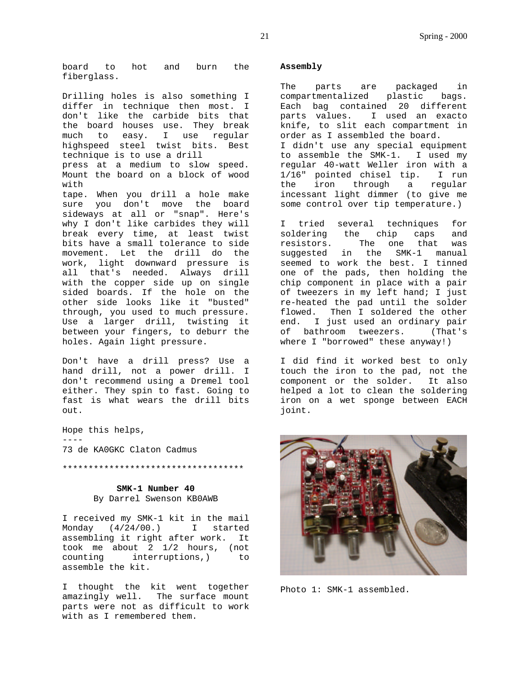board to hot and burn the fiberglass.

Drilling holes is also something I differ in technique then most. I don't like the carbide bits that the board houses use. They break much to easy. I use regular highspeed steel twist bits. Best technique is to use a drill press at a medium to slow speed. Mount the board on a block of wood with tape. When you drill a hole make sure you don't move the board sideways at all or "snap". Here's why I don't like carbides they will break every time, at least twist bits have a small tolerance to side movement. Let the drill do the work, light downward pressure is all that's needed. Always drill with the copper side up on single sided boards. If the hole on the other side looks like it "busted" through, you used to much pressure. Use a larger drill, twisting it between your fingers, to deburr the holes. Again light pressure.

Don't have a drill press? Use a hand drill, not a power drill. I don't recommend using a Dremel tool either. They spin to fast. Going to fast is what wears the drill bits out.

Hope this helps, ----

73 de KA0GKC Claton Cadmus

\*\*\*\*\*\*\*\*\*\*\*\*\*\*\*\*\*\*\*\*\*\*\*\*\*\*\*\*\*\*\*\*\*\*\*

**SMK-1 Number 40** By Darrel Swenson KB0AWB

I received my SMK-1 kit in the mail Monday (4/24/00.) I started assembling it right after work. It took me about 2 1/2 hours, (not counting interruptions,) to assemble the kit.

I thought the kit went together amazingly well. The surface mount parts were not as difficult to work with as I remembered them.

### **Assembly**

The parts are packaged in compartmentalized plastic bags. Each bag contained 20 different parts values. I used an exacto knife, to slit each compartment in order as I assembled the board. I didn't use any special equipment to assemble the SMK-1. I used my regular 40-watt Weller iron with a 1/16" pointed chisel tip. I run the iron through a regular incessant light dimmer (to give me some control over tip temperature.)

I tried several techniques for soldering the chip caps and resistors. The one that was suggested in the SMK-1 manual seemed to work the best. I tinned one of the pads, then holding the chip component in place with a pair of tweezers in my left hand; I just re-heated the pad until the solder flowed. Then I soldered the other end. I just used an ordinary pair of bathroom tweezers. (That's where I "borrowed" these anyway!)

I did find it worked best to only touch the iron to the pad, not the component or the solder. It also helped a lot to clean the soldering iron on a wet sponge between EACH joint.



Photo 1: SMK-1 assembled.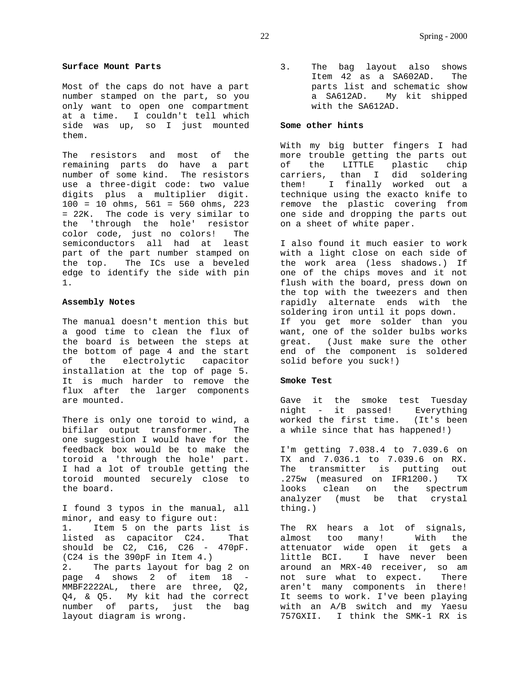#### **Surface Mount Parts**

Most of the caps do not have a part number stamped on the part, so you only want to open one compartment at a time. I couldn't tell which side was up, so I just mounted them.

The resistors and most of the remaining parts do have a part number of some kind. The resistors use a three-digit code: two value digits plus a multiplier digit. 100 = 10 ohms, 561 = 560 ohms, 223 = 22K. The code is very similar to the 'through the hole' resistor color code, just no colors! The semiconductors all had at least part of the part number stamped on the top. The ICs use a beveled edge to identify the side with pin 1.

#### **Assembly Notes**

The manual doesn't mention this but a good time to clean the flux of the board is between the steps at the bottom of page 4 and the start of the electrolytic capacitor installation at the top of page 5. It is much harder to remove the flux after the larger components are mounted.

There is only one toroid to wind, a bifilar output transformer. The one suggestion I would have for the feedback box would be to make the toroid a 'through the hole' part. I had a lot of trouble getting the toroid mounted securely close to the board.

I found 3 typos in the manual, all minor, and easy to figure out: 1. Item 5 on the parts list is listed as capacitor C24. That should be C2, C16, C26 - 470pF. (C24 is the 390pF in Item 4.) 2. The parts layout for bag 2 on page 4 shows 2 of item 18 - MMBF2222AL, there are three, Q2, Q4, & Q5. My kit had the correct number of parts, just the bag layout diagram is wrong.

3. The bag layout also shows Item 42 as a SA602AD. The parts list and schematic show a SA612AD. My kit shipped with the SA612AD.

#### **Some other hints**

With my big butter fingers I had more trouble getting the parts out of the LITTLE plastic chip carriers, than I did soldering them! I finally worked out a technique using the exacto knife to remove the plastic covering from one side and dropping the parts out on a sheet of white paper.

I also found it much easier to work with a light close on each side of the work area (less shadows.) If one of the chips moves and it not flush with the board, press down on the top with the tweezers and then rapidly alternate ends with the soldering iron until it pops down. If you get more solder than you want, one of the solder bulbs works great. (Just make sure the other end of the component is soldered solid before you suck!)

#### **Smoke Test**

Gave it the smoke test Tuesday night - it passed! Everything worked the first time. (It's been a while since that has happened!)

I'm getting 7.038.4 to 7.039.6 on TX and 7.036.1 to 7.039.6 on RX. The transmitter is putting out .275w (measured on IFR1200.) TX looks clean on the spectrum analyzer (must be that crystal thing.)

The RX hears a lot of signals, almost too many! With the attenuator wide open it gets a little BCI. I have never been around an MRX-40 receiver, so am not sure what to expect. There aren't many components in there! It seems to work. I've been playing with an A/B switch and my Yaesu 757GXII. I think the SMK-1 RX is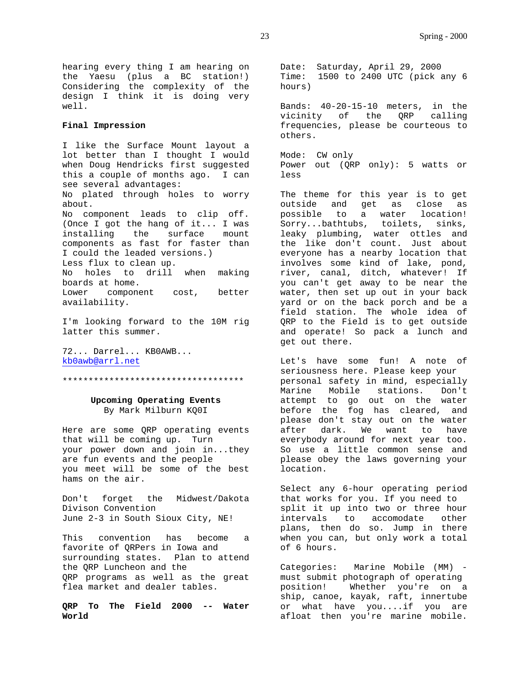hearing every thing I am hearing on the Yaesu (plus a BC station!) Considering the complexity of the design I think it is doing very well.

#### **Final Impression**

I like the Surface Mount layout a lot better than I thought I would when Doug Hendricks first suggested this a couple of months ago. I can see several advantages: No plated through holes to worry about. No component leads to clip off. (Once I got the hang of it... I was installing the surface mount components as fast for faster than I could the leaded versions.) Less flux to clean up. No holes to drill when making boards at home. Lower component cost, better availability.

I'm looking forward to the 10M rig latter this summer.

72... Darrel... KB0AWB... kb0awb@arrl.net

\*\*\*\*\*\*\*\*\*\*\*\*\*\*\*\*\*\*\*\*\*\*\*\*\*\*\*\*\*\*\*\*\*\*\*

**Upcoming Operating Events** By Mark Milburn KQ0I

Here are some QRP operating events that will be coming up. Turn your power down and join in...they are fun events and the people you meet will be some of the best hams on the air.

Don't forget the Midwest/Dakota Divison Convention June 2-3 in South Sioux City, NE!

This convention has become a favorite of QRPers in Iowa and surrounding states. Plan to attend the QRP Luncheon and the QRP programs as well as the great flea market and dealer tables.

**QRP To The Field 2000 -- Water World**

Date: Saturday, April 29, 2000 Time: 1500 to 2400 UTC (pick any 6 hours)

Bands: 40-20-15-10 meters, in the vicinity of the QRP calling frequencies, please be courteous to others.

Mode: CW only Power out (QRP only): 5 watts or less

The theme for this year is to get outside and get as close as possible to a water location! Sorry...bathtubs, toilets, sinks, leaky plumbing, water ottles and the like don't count. Just about everyone has a nearby location that involves some kind of lake, pond, river, canal, ditch, whatever! If you can't get away to be near the water, then set up out in your back yard or on the back porch and be a field station. The whole idea of QRP to the Field is to get outside and operate! So pack a lunch and get out there.

Let's have some fun! A note of seriousness here. Please keep your personal safety in mind, especially Marine Mobile stations. Don't attempt to go out on the water before the fog has cleared, and please don't stay out on the water after dark. We want to have everybody around for next year too. So use a little common sense and please obey the laws governing your location.

Select any 6-hour operating period that works for you. If you need to split it up into two or three hour intervals to accomodate other plans, then do so. Jump in there when you can, but only work a total of 6 hours.

Categories: Marine Mobile (MM) must submit photograph of operating position! Whether you're on a ship, canoe, kayak, raft, innertube or what have you....if you are afloat then you're marine mobile.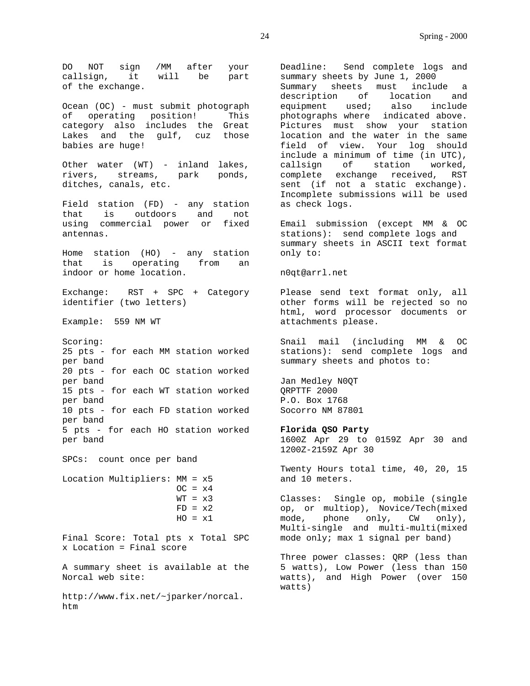DO NOT sign /MM after your callsign, it will be part of the exchange.

Ocean (OC) - must submit photograph of operating position! This category also includes the Great Lakes and the gulf, cuz those babies are huge!

Other water (WT) - inland lakes, rivers, streams, park ponds, ditches, canals, etc.

Field station (FD) - any station that is outdoors and not using commercial power or fixed antennas.

Home station (HO) - any station that is operating from an indoor or home location.

Exchange: RST + SPC + Category identifier (two letters)

Example: 559 NM WT

Scoring: 25 pts - for each MM station worked per band 20 pts - for each OC station worked per band 15 pts - for each WT station worked per band 10 pts - for each FD station worked per band 5 pts - for each HO station worked per band

SPCs: count once per band

Location Multipliers: MM = x5  $OC = x4$  $WT = x3$  $FD = x2$  $HO = x1$ 

Final Score: Total pts x Total SPC x Location = Final score

A summary sheet is available at the Norcal web site:

http://www.fix.net/~jparker/norcal. htm

Deadline: Send complete logs and summary sheets by June 1, 2000 Summary sheets must include a description of location and equipment used; also include photographs where indicated above. Pictures must show your station location and the water in the same field of view. Your log should include a minimum of time (in UTC), callsign of station worked, complete exchange received, RST sent (if not a static exchange). Incomplete submissions will be used as check logs.

Email submission (except MM & OC stations): send complete logs and summary sheets in ASCII text format only to:

#### n0qt@arrl.net

Please send text format only, all other forms will be rejected so no html, word processor documents or attachments please.

Snail mail (including MM & OC stations): send complete logs and summary sheets and photos to:

Jan Medley N0QT QRPTTF 2000 P.O. Box 1768 Socorro NM 87801

#### **Florida QSO Party**

1600Z Apr 29 to 0159Z Apr 30 and 1200Z-2159Z Apr 30

Twenty Hours total time, 40, 20, 15 and 10 meters.

Classes: Single op, mobile (single op, or multiop), Novice/Tech(mixed mode, phone only, CW only), Multi-single and multi-multi(mixed mode only; max 1 signal per band)

Three power classes: QRP (less than 5 watts), Low Power (less than 150 watts), and High Power (over 150 watts)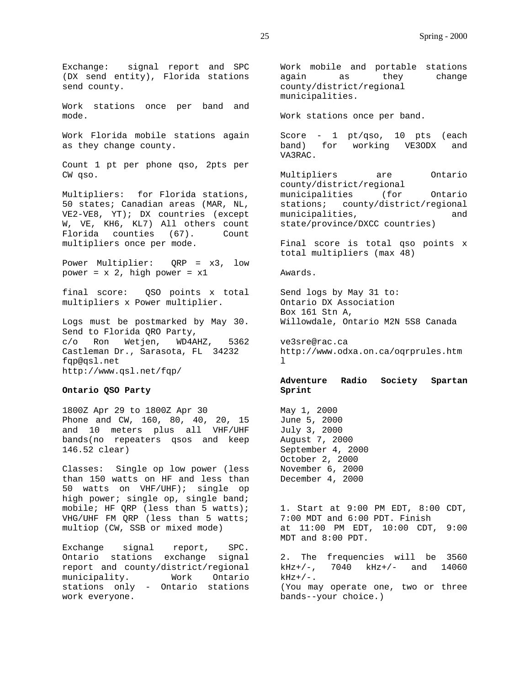Exchange: signal report and SPC (DX send entity), Florida stations send county.

Work stations once per band and mode.

Work Florida mobile stations again as they change county.

Count 1 pt per phone qso, 2pts per CW qso.

Multipliers: for Florida stations, 50 states; Canadian areas (MAR, NL, VE2-VE8, YT); DX countries (except W, VE, KH6, KL7) All others count Florida counties (67). Count multipliers once per mode.

Power Multiplier: QRP = x3, low power =  $x$  2, high power =  $x1$ 

final score: QSO points x total multipliers x Power multiplier.

Logs must be postmarked by May 30. Send to Florida QRO Party, c/o Ron Wetjen, WD4AHZ, 5362 Castleman Dr., Sarasota, FL 34232 fqp@qsl.net http://www.qsl.net/fqp/

## **Ontario QSO Party**

1800Z Apr 29 to 1800Z Apr 30 Phone and CW, 160, 80, 40, 20, 15 and 10 meters plus all VHF/UHF bands(no repeaters qsos and keep 146.52 clear)

Classes: Single op low power (less than 150 watts on HF and less than 50 watts on VHF/UHF); single op high power; single op, single band; mobile; HF QRP (less than 5 watts); VHG/UHF FM QRP (less than 5 watts; multiop (CW, SSB or mixed mode)

Exchange signal report, SPC. Ontario stations exchange signal report and county/district/regional municipality. Work Ontario stations only - Ontario stations work everyone.

Work mobile and portable stations again as they change county/district/regional municipalities.

Work stations once per band.

Score - 1 pt/qso, 10 pts (each<br>band) for working VE30DX and band) for working VE3ODX and VA3RAC.

Multipliers are Ontario county/district/regional municipalities (for Ontario stations; county/district/regional municipalities, and state/province/DXCC countries)

Final score is total qso points x total multipliers (max 48)

Awards.

Send logs by May 31 to: Ontario DX Association Box 161 Stn A, Willowdale, Ontario M2N 5S8 Canada

ve3sre@rac.ca http://www.odxa.on.ca/oqrprules.htm  $\mathbf{1}$ 

**Adventure Radio Society Spartan Sprint**

May 1, 2000 June 5, 2000 July 3, 2000 August 7, 2000 September 4, 2000 October 2, 2000 November 6, 2000 December 4, 2000

1. Start at 9:00 PM EDT, 8:00 CDT, 7:00 MDT and 6:00 PDT. Finish at 11:00 PM EDT, 10:00 CDT, 9:00 MDT and 8:00 PDT.

2. The frequencies will be 3560 kHz+/-, 7040 kHz+/- and 14060  $kHz+/-$ . (You may operate one, two or three bands--your choice.)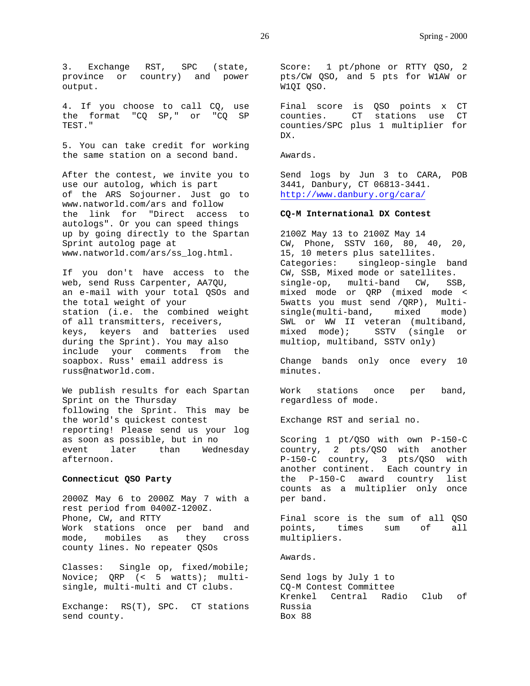3. Exchange RST, SPC (state, province or country) and power output.

4. If you choose to call CQ, use the format "CQ SP," or "CQ SP TEST."

5. You can take credit for working the same station on a second band.

After the contest, we invite you to use our autolog, which is part of the ARS Sojourner. Just go to www.natworld.com/ars and follow the link for "Direct access to autologs". Or you can speed things up by going directly to the Spartan Sprint autolog page at www.natworld.com/ars/ss\_log.html.

If you don't have access to the web, send Russ Carpenter, AA7QU, an e-mail with your total QSOs and the total weight of your station (i.e. the combined weight of all transmitters, receivers, keys, keyers and batteries used during the Sprint). You may also include your comments from the soapbox. Russ' email address is russ@natworld.com.

We publish results for each Spartan Sprint on the Thursday following the Sprint. This may be the world's quickest contest reporting! Please send us your log as soon as possible, but in no event later than Wednesday afternoon.

#### **Connecticut QSO Party**

2000Z May 6 to 2000Z May 7 with a rest period from 0400Z-1200Z. Phone, CW, and RTTY Work stations once per band and mode, mobiles as they cross county lines. No repeater QSOs

Classes: Single op, fixed/mobile; Novice; QRP (< 5 watts); multisingle, multi-multi and CT clubs.

Exchange: RS(T), SPC. CT stations send county.

Score: 1 pt/phone or RTTY QSO, 2 pts/CW QSO, and 5 pts for W1AW or W1QI QSO.

Final score is QSO points x CT counties. CT stations use CT counties/SPC plus 1 multiplier for DX.

Awards.

Send logs by Jun 3 to CARA, POB 3441, Danbury, CT 06813-3441. http://www.danbury.org/cara/

#### **CQ-M International DX Contest**

2100Z May 13 to 2100Z May 14 CW, Phone, SSTV 160, 80, 40, 20, 15, 10 meters plus satellites. Categories: singleop-single band CW, SSB, Mixed mode or satellites. single-op, multi-band CW, SSB, mixed mode or QRP (mixed mode < 5watts you must send /QRP), Multisingle(multi-band, mixed mode) SWL or WW II veteran (multiband, mixed mode); SSTV (single or multiop, multiband, SSTV only)

Change bands only once every 10 minutes.

Work stations once per band, regardless of mode.

Exchange RST and serial no.

Scoring 1 pt/QSO with own P-150-C country, 2 pts/QSO with another P-150-C country, 3 pts/QSO with another continent. Each country in the P-150-C award country list counts as a multiplier only once per band.

Final score is the sum of all QSO points, times sum of all multipliers.

Awards.

Send logs by July 1 to CQ-M Contest Committee Krenkel Central Radio Club of Russia Box 88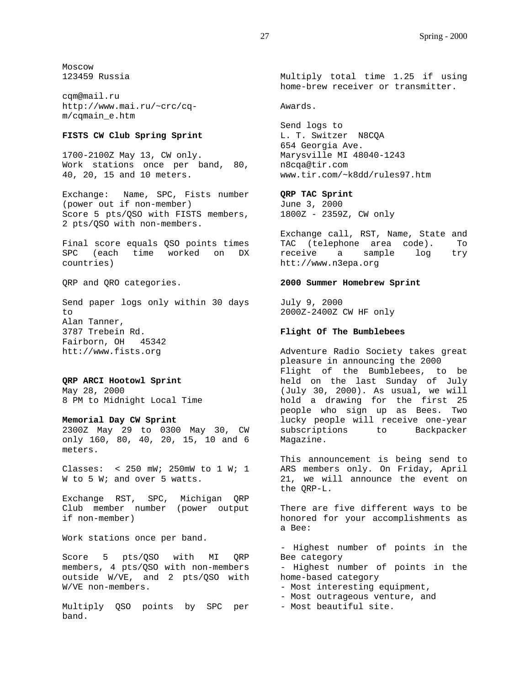Moscow 123459 Russia

cqm@mail.ru http://www.mai.ru/~crc/cqm/cqmain\_e.htm

## **FISTS CW Club Spring Sprint**

1700-2100Z May 13, CW only. Work stations once per band, 80, 40, 20, 15 and 10 meters.

Exchange: Name, SPC, Fists number (power out if non-member) Score 5 pts/QSO with FISTS members, 2 pts/QSO with non-members.

Final score equals QSO points times SPC (each time worked on DX countries)

QRP and QRO categories.

Send paper logs only within 30 days to Alan Tanner, 3787 Trebein Rd. Fairborn, OH 45342 htt://www.fists.org

**QRP ARCI Hootowl Sprint** May 28, 2000 8 PM to Midnight Local Time

**Memorial Day CW Sprint** 2300Z May 29 to 0300 May 30, CW

only 160, 80, 40, 20, 15, 10 and 6 meters.

Classes: < 250 mW; 250mW to 1 W; 1 W to 5 W; and over 5 watts.

Exchange RST, SPC, Michigan QRP Club member number (power output if non-member)

Work stations once per band.

Score 5 pts/QSO with MI QRP members, 4 pts/QSO with non-members outside W/VE, and 2 pts/QSO with W/VE non-members.

Multiply QSO points by SPC per band.

Multiply total time 1.25 if using home-brew receiver or transmitter.

Awards.

Send logs to L. T. Switzer N8CQA 654 Georgia Ave. Marysville MI 48040-1243 n8cqa@tir.com www.tir.com/~k8dd/rules97.htm

**QRP TAC Sprint**

June 3, 2000 1800Z - 2359Z, CW only

Exchange call, RST, Name, State and TAC (telephone area code). To receive a sample log try htt://www.n3epa.org

#### **2000 Summer Homebrew Sprint**

July 9, 2000 2000Z-2400Z CW HF only

#### **Flight Of The Bumblebees**

Adventure Radio Society takes great pleasure in announcing the 2000 Flight of the Bumblebees, to be held on the last Sunday of July (July 30, 2000). As usual, we will hold a drawing for the first 25 people who sign up as Bees. Two lucky people will receive one-year subscriptions to Backpacker Magazine.

This announcement is being send to ARS members only. On Friday, April 21, we will announce the event on the QRP-L.

There are five different ways to be honored for your accomplishments as a Bee:

- Highest number of points in the Bee category

- Highest number of points in the home-based category

- Most interesting equipment,

- Most outrageous venture, and

- Most beautiful site.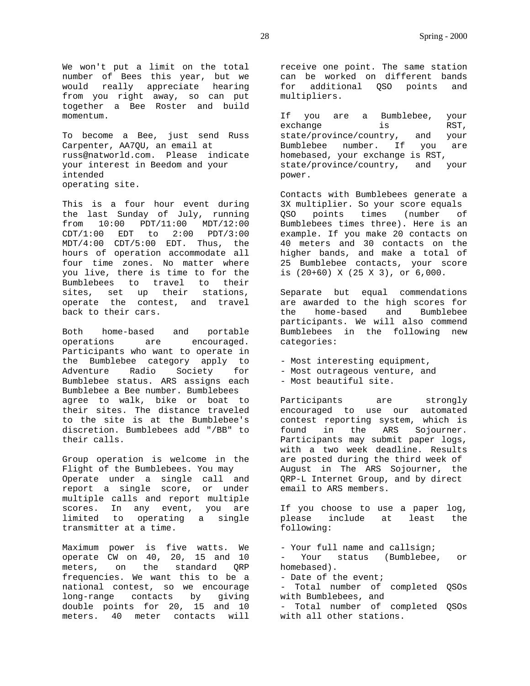We won't put a limit on the total number of Bees this year, but we would really appreciate hearing from you right away, so can put together a Bee Roster and build momentum.

To become a Bee, just send Russ Carpenter, AA7QU, an email at russ@natworld.com. Please indicate your interest in Beedom and your intended operating site.

This is a four hour event during the last Sunday of July, running from 10:00 PDT/11:00 MDT/12:00 CDT/1:00 EDT to 2:00 PDT/3:00 MDT/4:00 CDT/5:00 EDT. Thus, the hours of operation accommodate all four time zones. No matter where you live, there is time to for the Bumblebees to travel to their sites, set up their stations, operate the contest, and travel back to their cars.

Both home-based and portable operations are encouraged. Participants who want to operate in the Bumblebee category apply to Adventure Radio Society for Bumblebee status. ARS assigns each Bumblebee a Bee number. Bumblebees agree to walk, bike or boat to their sites. The distance traveled to the site is at the Bumblebee's discretion. Bumblebees add "/BB" to their calls.

Group operation is welcome in the Flight of the Bumblebees. You may Operate under a single call and report a single score, or under multiple calls and report multiple scores. In any event, you are limited to operating a single transmitter at a time.

Maximum power is five watts. We operate CW on 40, 20, 15 and 10 meters, on the standard QRP frequencies. We want this to be a national contest, so we encourage long-range contacts by giving double points for 20, 15 and 10 meters. 40 meter contacts will

receive one point. The same station can be worked on different bands for additional QSO points and multipliers.

If you are a Bumblebee, your exchange is RST, state/province/country, and your Bumblebee number. If you are homebased, your exchange is RST, state/province/country, and your power.

Contacts with Bumblebees generate a 3X multiplier. So your score equals QSO points times (number of Bumblebees times three). Here is an example. If you make 20 contacts on 40 meters and 30 contacts on the higher bands, and make a total of 25 Bumblebee contacts, your score is (20+60) X (25 X 3), or 6,000.

Separate but equal commendations are awarded to the high scores for the home-based and Bumblebee participants. We will also commend Bumblebees in the following new categories:

- Most interesting equipment,
- Most outrageous venture, and
- Most beautiful site.

Participants are strongly encouraged to use our automated contest reporting system, which is found in the ARS Sojourner. Participants may submit paper logs, with a two week deadline. Results are posted during the third week of August in The ARS Sojourner, the QRP-L Internet Group, and by direct email to ARS members.

If you choose to use a paper log, please include at least the following:

- Your full name and callsign; - Your status (Bumblebee, or homebased). - Date of the event; - Total number of completed QSOs with Bumblebees, and - Total number of completed QSOs with all other stations.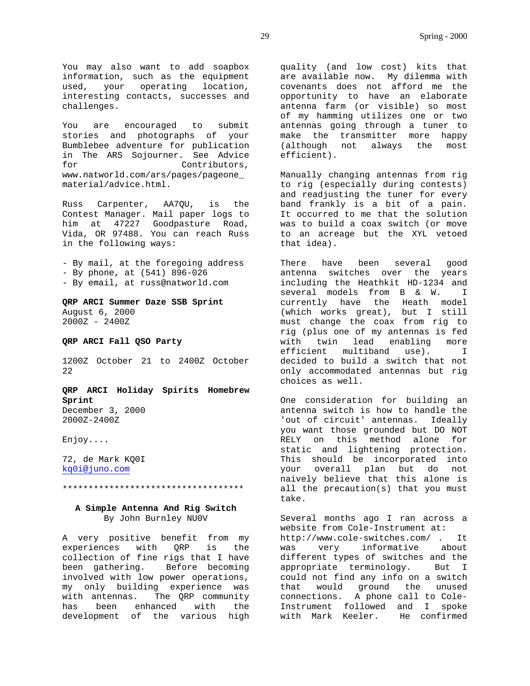You may also want to add soapbox information, such as the equipment used, your operating location, interesting contacts, successes and challenges.

You are encouraged to submit stories and photographs of your Bumblebee adventure for publication in The ARS Sojourner. See Advice for Contributors, www.natworld.com/ars/pages/pageone\_ material/advice.html.

Russ Carpenter, AA7QU, is the Contest Manager. Mail paper logs to him at 47227 Goodpasture Road, Vida, OR 97488. You can reach Russ in the following ways:

- By mail, at the foregoing address - By phone, at (541) 896-026 - By email, at russ@natworld.com

**QRP ARCI Summer Daze SSB Sprint** August 6, 2000 2000Z - 2400Z

## **QRP ARCI Fall QSO Party**

1200Z October 21 to 2400Z October 22

**QRP ARCI Holiday Spirits Homebrew Sprint** December 3, 2000 2000Z-2400Z

Enjoy....

72, de Mark KQ0I kq0i@juno.com

#### \*\*\*\*\*\*\*\*\*\*\*\*\*\*\*\*\*\*\*\*\*\*\*\*\*\*\*\*\*\*\*\*\*\*\*

## **A Simple Antenna And Rig Switch** By John Burnley NU0V

A very positive benefit from my experiences with QRP is the collection of fine rigs that I have been gathering. Before becoming involved with low power operations, my only building experience was with antennas. The QRP community has been enhanced with the development of the various high

quality (and low cost) kits that are available now. My dilemma with covenants does not afford me the opportunity to have an elaborate antenna farm (or visible) so most of my hamming utilizes one or two antennas going through a tuner to make the transmitter more happy (although not always the most efficient).

Manually changing antennas from rig to rig (especially during contests) and readjusting the tuner for every band frankly is a bit of a pain. It occurred to me that the solution was to build a coax switch (or move to an acreage but the XYL vetoed that idea).

There have been several good antenna switches over the years including the Heathkit HD-1234 and several models from B & W. I currently have the Heath model (which works great), but I still must change the coax from rig to rig (plus one of my antennas is fed with twin lead enabling more efficient multiband use). I decided to build a switch that not only accommodated antennas but rig choices as well.

One consideration for building an antenna switch is how to handle the 'out of circuit' antennas. Ideally you want those grounded but DO NOT RELY on this method alone for static and lightening protection. This should be incorporated into your overall plan but do not naively believe that this alone is all the precaution(s) that you must take.

Several months ago I ran across a website from Cole-Instrument at: http://www.cole-switches.com/ . It was very informative about different types of switches and the appropriate terminology. But I could not find any info on a switch that would ground the unused connections. A phone call to Cole-Instrument followed and I spoke with Mark Keeler. He confirmed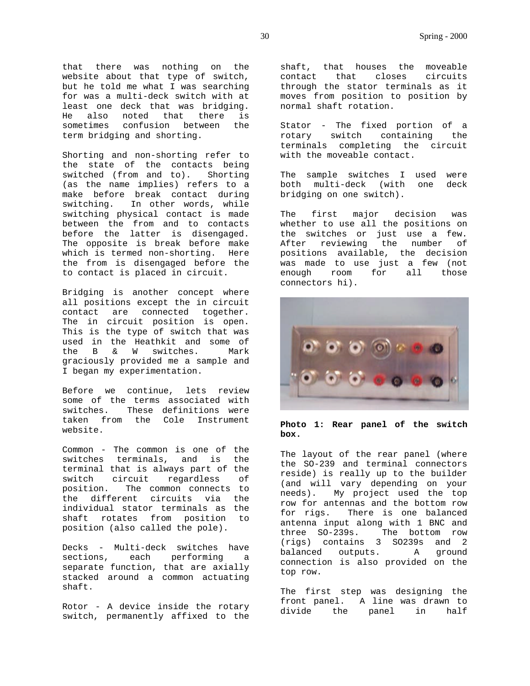that there was nothing on the website about that type of switch, but he told me what I was searching for was a multi-deck switch with at least one deck that was bridging. He also noted that there is sometimes confusion between the term bridging and shorting.

Shorting and non-shorting refer to the state of the contacts being switched (from and to). Shorting (as the name implies) refers to a make before break contact during switching. In other words, while switching physical contact is made between the from and to contacts before the latter is disengaged. The opposite is break before make which is termed non-shorting. Here the from is disengaged before the to contact is placed in circuit.

Bridging is another concept where all positions except the in circuit contact are connected together. The in circuit position is open. This is the type of switch that was used in the Heathkit and some of the B & W switches. Mark graciously provided me a sample and I began my experimentation.

Before we continue, lets review some of the terms associated with switches. These definitions were taken from the Cole Instrument website.

Common - The common is one of the switches terminals, and is the terminal that is always part of the switch circuit regardless of<br>position. The common connects to The common connects to the different circuits via the individual stator terminals as the shaft rotates from position to position (also called the pole).

Decks - Multi-deck switches have sections, each performing a separate function, that are axially stacked around a common actuating shaft.

Rotor - A device inside the rotary switch, permanently affixed to the shaft, that houses the moveable contact that closes circuits through the stator terminals as it moves from position to position by normal shaft rotation.

Stator - The fixed portion of a rotary switch containing the terminals completing the circuit with the moveable contact.

The sample switches I used were both multi-deck (with one deck bridging on one switch).

The first major decision was whether to use all the positions on the switches or just use a few. After reviewing the number of positions available, the decision was made to use just a few (not enough room for all those connectors hi).



#### **Photo 1: Rear panel of the switch box.**

The layout of the rear panel (where the SO-239 and terminal connectors reside) is really up to the builder (and will vary depending on your needs). My project used the top row for antennas and the bottom row for rigs. There is one balanced antenna input along with 1 BNC and three SO-239s. The bottom row (rigs) contains 3 SO239s and 2 balanced outputs. A ground connection is also provided on the top row.

The first step was designing the front panel. A line was drawn to divide the panel in half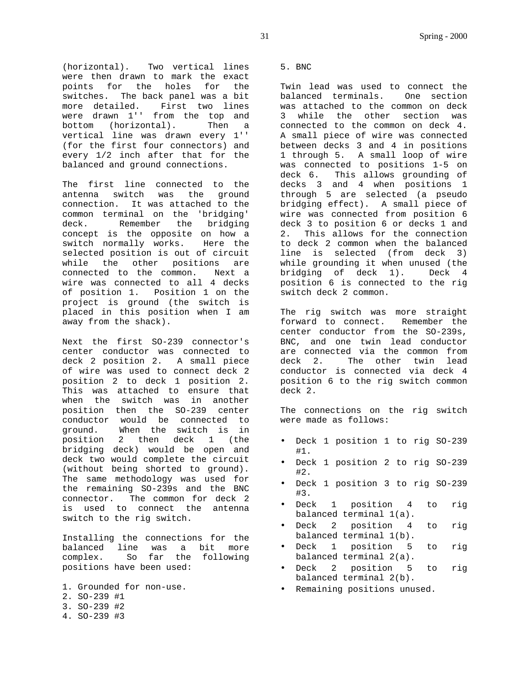(horizontal). Two vertical lines were then drawn to mark the exact points for the holes for the switches. The back panel was a bit more detailed. First two lines were drawn 1'' from the top and bottom (horizontal). Then a vertical line was drawn every 1'' (for the first four connectors) and every 1/2 inch after that for the balanced and ground connections.

The first line connected to the antenna switch was the ground connection. It was attached to the common terminal on the 'bridging' deck. Remember the bridging concept is the opposite on how a switch normally works. Here the selected position is out of circuit while the other positions are connected to the common. Next a wire was connected to all 4 decks of position 1. Position 1 on the project is ground (the switch is placed in this position when I am away from the shack).

Next the first SO-239 connector's center conductor was connected to deck 2 position 2. A small piece of wire was used to connect deck 2 position 2 to deck 1 position 2. This was attached to ensure that when the switch was in another position then the SO-239 center conductor would be connected to ground. When the switch is in position 2 then deck 1 (the bridging deck) would be open and deck two would complete the circuit (without being shorted to ground). The same methodology was used for the remaining SO-239s and the BNC connector. The common for deck 2 is used to connect the antenna switch to the rig switch.

Installing the connections for the balanced line was a bit more complex. So far the following positions have been used:

1. Grounded for non-use. 2. SO-239 #1 3. SO-239 #2 4. SO-239 #3

5. BNC

Twin lead was used to connect the balanced terminals. One section was attached to the common on deck 3 while the other section was connected to the common on deck 4. A small piece of wire was connected between decks 3 and 4 in positions 1 through 5. A small loop of wire was connected to positions 1-5 on deck 6. This allows grounding of decks 3 and 4 when positions 1 through 5 are selected (a pseudo bridging effect). A small piece of wire was connected from position 6 deck 3 to position 6 or decks 1 and 2. This allows for the connection to deck 2 common when the balanced line is selected (from deck 3) while grounding it when unused (the bridging of deck 1). Deck 4 position 6 is connected to the rig switch deck 2 common.

The rig switch was more straight forward to connect. Remember the center conductor from the SO-239s, BNC, and one twin lead conductor are connected via the common from deck 2. The other twin lead conductor is connected via deck 4 position 6 to the rig switch common deck 2.

The connections on the rig switch were made as follows:

- Deck 1 position 1 to rig SO-239 #1.
- Deck 1 position 2 to rig SO-239 #2.
- Deck 1 position 3 to rig SO-239 #3.
- Deck 1 position 4 to rig balanced terminal 1(a).
- Deck 2 position 4 to rig balanced terminal 1(b).
- Deck 1 position 5 to rig balanced terminal 2(a).
- Deck 2 position 5 to rig balanced terminal 2(b).
- Remaining positions unused.